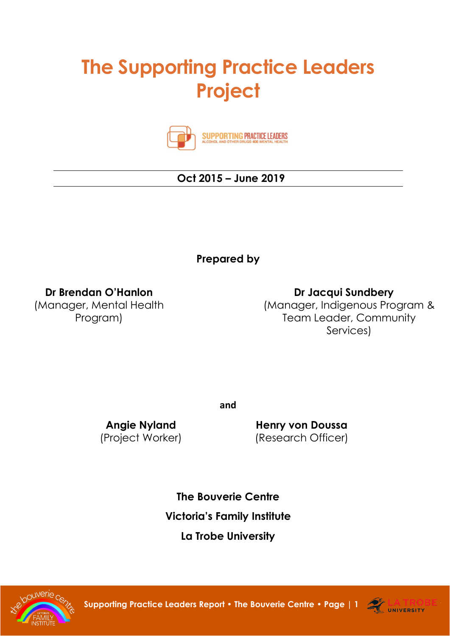# **The Supporting Practice Leaders Project**



**SUPPORTING PRACTICE LEADERS** 

## **Oct 2015 – June 2019**

**Prepared by**

**Dr Brendan O'Hanlon**

(Manager, Mental Health Program)

 **Dr Jacqui Sundbery** (Manager, Indigenous Program & Team Leader, Community Services)

**and**

**Angie Nyland** (Project Worker)

**Henry von Doussa** (Research Officer)

**The Bouverie Centre Victoria's Family Institute La Trobe University**



**Supporting Practice Leaders Report • The Bouverie Centre • [Page | 1](http://www.bouverie.org.au/) <b>ALLA TRO** 

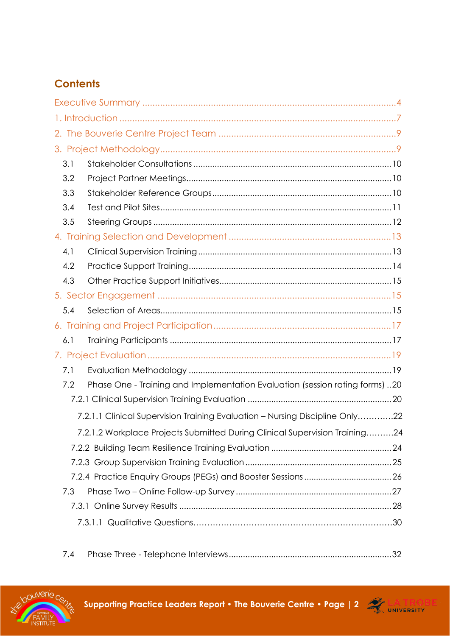## **Contents**

| 3.1 |                                                                              |  |
|-----|------------------------------------------------------------------------------|--|
| 3.2 |                                                                              |  |
| 3.3 |                                                                              |  |
| 3.4 |                                                                              |  |
| 3.5 |                                                                              |  |
|     |                                                                              |  |
| 4.1 |                                                                              |  |
| 4.2 |                                                                              |  |
| 4.3 |                                                                              |  |
|     |                                                                              |  |
| 5.4 |                                                                              |  |
|     |                                                                              |  |
| 6.1 |                                                                              |  |
|     |                                                                              |  |
| 7.1 |                                                                              |  |
| 7.2 | Phase One - Training and Implementation Evaluation (session rating forms) 20 |  |
|     |                                                                              |  |
|     | 7.2.1.1 Clinical Supervision Training Evaluation - Nursing Discipline Only22 |  |
|     | 7.2.1.2 Workplace Projects Submitted During Clinical Supervision Training24  |  |
|     |                                                                              |  |
|     |                                                                              |  |
|     |                                                                              |  |
| 7.3 |                                                                              |  |
|     |                                                                              |  |
|     |                                                                              |  |
|     |                                                                              |  |

7.4 Phase Three - [Telephone Interviews.....................................................................32](#page-31-0)



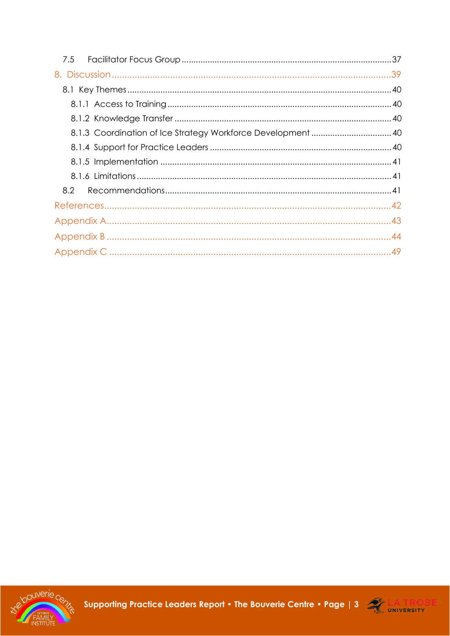| 7.5 |  |
|-----|--|
|     |  |
|     |  |
|     |  |
|     |  |
|     |  |
|     |  |
|     |  |
|     |  |
| 8.2 |  |
|     |  |
|     |  |
|     |  |
|     |  |



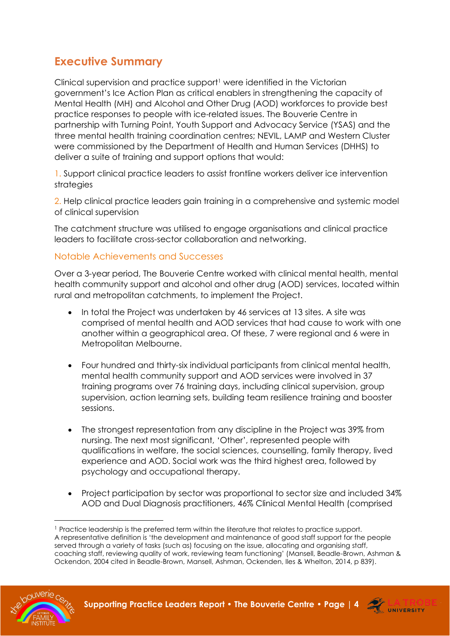## <span id="page-3-0"></span>**Executive Summary**

Clinical supervision and practice support<sup>1</sup> were identified in the Victorian government's Ice Action Plan as critical enablers in strengthening the capacity of Mental Health (MH) and Alcohol and Other Drug (AOD) workforces to provide best practice responses to people with ice-related issues. The Bouverie Centre in partnership with Turning Point, Youth Support and Advocacy Service (YSAS) and the three mental health training coordination centres; NEVIL, LAMP and Western Cluster were commissioned by the Department of Health and Human Services (DHHS) to deliver a suite of training and support options that would:

1. Support clinical practice leaders to assist frontline workers deliver ice intervention strategies

2. Help clinical practice leaders gain training in a comprehensive and systemic model of clinical supervision

The catchment structure was utilised to engage organisations and clinical practice leaders to facilitate cross-sector collaboration and networking.

#### Notable Achievements and Successes

Over a 3-year period, The Bouverie Centre worked with clinical mental health, mental health community support and alcohol and other drug (AOD) services, located within rural and metropolitan catchments, to implement the Project.

- In total the Project was undertaken by 46 services at 13 sites. A site was comprised of mental health and AOD services that had cause to work with one another within a geographical area. Of these, 7 were regional and 6 were in Metropolitan Melbourne.
- Four hundred and thirty-six individual participants from clinical mental health, mental health community support and AOD services were involved in 37 training programs over 76 training days, including clinical supervision, group supervision, action learning sets, building team resilience training and booster sessions.
- The strongest representation from any discipline in the Project was 39% from nursing. The next most significant, 'Other', represented people with qualifications in welfare, the social sciences, counselling, family therapy, lived experience and AOD. Social work was the third highest area, followed by psychology and occupational therapy.
- Project participation by sector was proportional to sector size and included 34% AOD and Dual Diagnosis practitioners, 46% Clinical Mental Health (comprised

<sup>&</sup>lt;sup>1</sup> Practice leadership is the preferred term within the literature that relates to practice support. A representative definition is 'the development and maintenance of good staff support for the people served through a variety of tasks (such as) focusing on the issue, allocating and organising staff, coaching staff, reviewing quality of work, reviewing team functioning' (Mansell, Beadle-Brown, Ashman & Ockendon, 2004 cited in Beadle-Brown, Mansell, Ashman, Ockenden, Iles & Whelton, 2014, p 839).



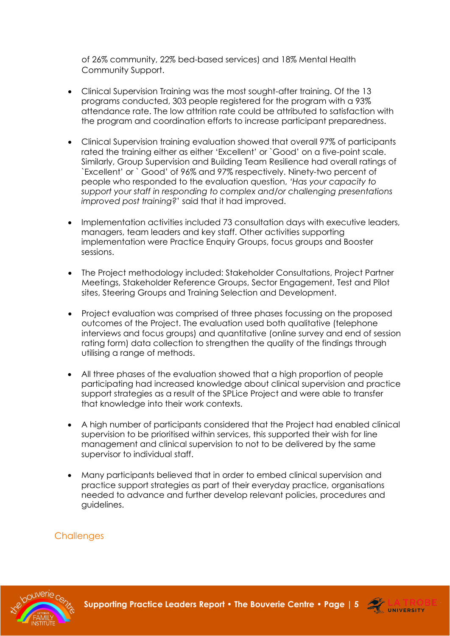of 26% community, 22% bed-based services) and 18% Mental Health Community Support.

- Clinical Supervision Training was the most sought-after training. Of the 13 programs conducted, 303 people registered for the program with a 93% attendance rate. The low attrition rate could be attributed to satisfaction with the program and coordination efforts to increase participant preparedness.
- Clinical Supervision training evaluation showed that overall 97% of participants rated the training either as either 'Excellent' or `Good' on a five-point scale. Similarly, Group Supervision and Building Team Resilience had overall ratings of `Excellent' or ` Good' of 96% and 97% respectively. Ninety-two percent of people who responded to the evaluation question, *'Has your capacity to support your staff in responding to complex and/or challenging presentations improved post training?*' said that it had improved.
- Implementation activities included 73 consultation days with executive leaders, managers, team leaders and key staff. Other activities supporting implementation were Practice Enquiry Groups, focus groups and Booster sessions.
- The Project methodology included: Stakeholder Consultations, Project Partner Meetings, Stakeholder Reference Groups, Sector Engagement, Test and Pilot sites, Steering Groups and Training Selection and Development.
- Project evaluation was comprised of three phases focussing on the proposed outcomes of the Project. The evaluation used both qualitative (telephone interviews and focus groups) and quantitative (online survey and end of session rating form) data collection to strengthen the quality of the findings through utilising a range of methods.
- All three phases of the evaluation showed that a high proportion of people participating had increased knowledge about clinical supervision and practice support strategies as a result of the SPLice Project and were able to transfer that knowledge into their work contexts.
- A high number of participants considered that the Project had enabled clinical supervision to be prioritised within services, this supported their wish for line management and clinical supervision to not to be delivered by the same supervisor to individual staff.
- Many participants believed that in order to embed clinical supervision and practice support strategies as part of their everyday practice, organisations needed to advance and further develop relevant policies, procedures and guidelines.

**Challenges** 



**Supporting Practice Leaders Report • The Bouverie Centre • [Page | 5](http://www.bouverie.org.au/) 2 LA TRO** 

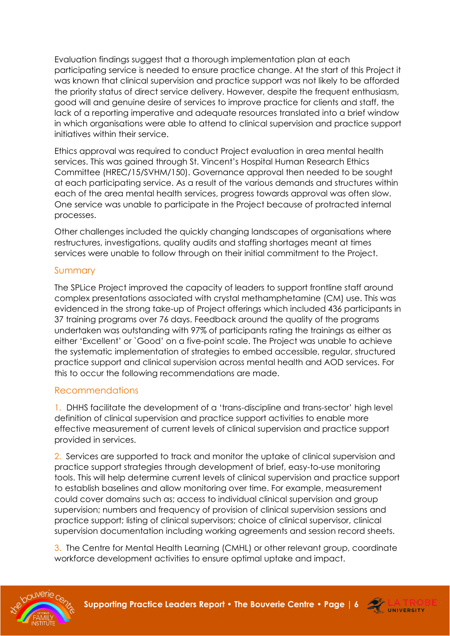Evaluation findings suggest that a thorough implementation plan at each participating service is needed to ensure practice change. At the start of this Project it was known that clinical supervision and practice support was not likely to be afforded the priority status of direct service delivery. However, despite the frequent enthusiasm, good will and genuine desire of services to improve practice for clients and staff, the lack of a reporting imperative and adequate resources translated into a brief window in which organisations were able to attend to clinical supervision and practice support initiatives within their service.

Ethics approval was required to conduct Project evaluation in area mental health services. This was gained through St. Vincent's Hospital Human Research Ethics Committee (HREC/15/SVHM/150). Governance approval then needed to be sought at each participating service. As a result of the various demands and structures within each of the area mental health services, progress towards approval was often slow. One service was unable to participate in the Project because of protracted internal processes.

Other challenges included the quickly changing landscapes of organisations where restructures, investigations, quality audits and staffing shortages meant at times services were unable to follow through on their initial commitment to the Project.

#### Summary

The SPLice Project improved the capacity of leaders to support frontline staff around complex presentations associated with crystal methamphetamine (CM) use. This was evidenced in the strong take-up of Project offerings which included 436 participants in 37 training programs over 76 days. Feedback around the quality of the programs undertaken was outstanding with 97% of participants rating the trainings as either as either 'Excellent' or `Good' on a five-point scale. The Project was unable to achieve the systematic implementation of strategies to embed accessible, regular, structured practice support and clinical supervision across mental health and AOD services. For this to occur the following recommendations are made.

#### Recommendations

1. DHHS facilitate the development of a 'trans-discipline and trans-sector' high level definition of clinical supervision and practice support activities to enable more effective measurement of current levels of clinical supervision and practice support provided in services.

2. Services are supported to track and monitor the uptake of clinical supervision and practice support strategies through development of brief, easy-to-use monitoring tools. This will help determine current levels of clinical supervision and practice support to establish baselines and allow monitoring over time. For example, measurement could cover domains such as; access to individual clinical supervision and group supervision; numbers and frequency of provision of clinical supervision sessions and practice support; listing of clinical supervisors; choice of clinical supervisor, clinical supervision documentation including working agreements and session record sheets.

3. The Centre for Mental Health Learning (CMHL) or other relevant group, coordinate workforce development activities to ensure optimal uptake and impact.



**Supporting Practice Leaders Report • The Bouverie Centre • [Page | 6](http://www.bouverie.org.au/) <b>ALLIE LA TRO** 

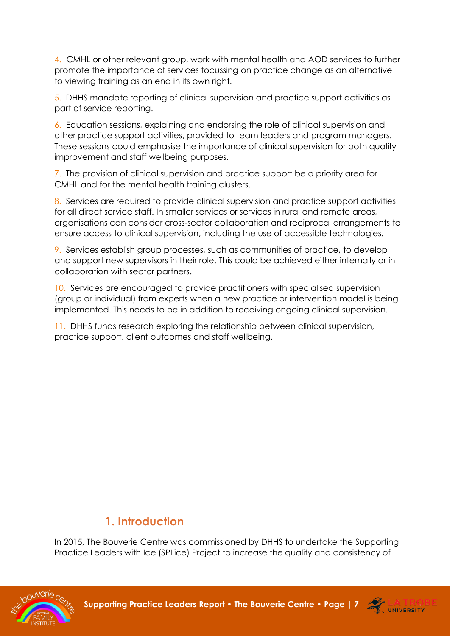4. CMHL or other relevant group, work with mental health and AOD services to further promote the importance of services focussing on practice change as an alternative to viewing training as an end in its own right.

5. DHHS mandate reporting of clinical supervision and practice support activities as part of service reporting.

6. Education sessions, explaining and endorsing the role of clinical supervision and other practice support activities, provided to team leaders and program managers. These sessions could emphasise the importance of clinical supervision for both quality improvement and staff wellbeing purposes.

7. The provision of clinical supervision and practice support be a priority area for CMHL and for the mental health training clusters.

8. Services are required to provide clinical supervision and practice support activities for all direct service staff. In smaller services or services in rural and remote areas, organisations can consider cross-sector collaboration and reciprocal arrangements to ensure access to clinical supervision, including the use of accessible technologies.

9. Services establish group processes, such as communities of practice, to develop and support new supervisors in their role. This could be achieved either internally or in collaboration with sector partners.

10. Services are encouraged to provide practitioners with specialised supervision (group or individual) from experts when a new practice or intervention model is being implemented. This needs to be in addition to receiving ongoing clinical supervision.

11. DHHS funds research exploring the relationship between clinical supervision, practice support, client outcomes and staff wellbeing.

## <span id="page-6-0"></span> **1. Introduction**

In 2015, The Bouverie Centre was commissioned by DHHS to undertake the Supporting Practice Leaders with Ice (SPLice) Project to increase the quality and consistency of



**Supporting Practice Leaders Report • The Bouverie Centre • [Page | 7](http://www.bouverie.org.au/) 2 LA TRO** 

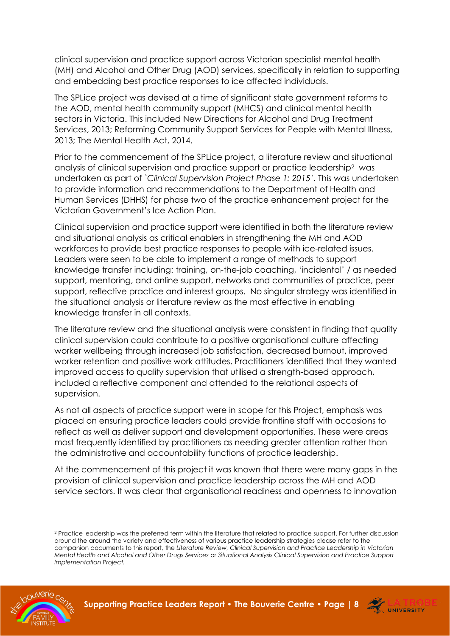clinical supervision and practice support across Victorian specialist mental health (MH) and Alcohol and Other Drug (AOD) services, specifically in relation to supporting and embedding best practice responses to ice affected individuals.

The SPLice project was devised at a time of significant state government reforms to the AOD, mental health community support (MHCS) and clinical mental health sectors in Victoria. This included New Directions for Alcohol and Drug Treatment Services, 2013; Reforming Community Support Services for People with Mental Illness, 2013; The Mental Health Act, 2014.

Prior to the commencement of the SPLice project, a literature review and situational analysis of clinical supervision and practice support or practice leadership<sup>2</sup> was undertaken as part of *`Clinical Supervision Project Phase 1: 2015'*. This was undertaken to provide information and recommendations to the Department of Health and Human Services (DHHS) for phase two of the practice enhancement project for the Victorian Government's Ice Action Plan.

Clinical supervision and practice support were identified in both the literature review and situational analysis as critical enablers in strengthening the MH and AOD workforces to provide best practice responses to people with ice-related issues. Leaders were seen to be able to implement a range of methods to support knowledge transfer including: training, on-the-job coaching, 'incidental' / as needed support, mentoring, and online support, networks and communities of practice, peer support, reflective practice and interest groups. No singular strategy was identified in the situational analysis or literature review as the most effective in enabling knowledge transfer in all contexts.

The literature review and the situational analysis were consistent in finding that quality clinical supervision could contribute to a positive organisational culture affecting worker wellbeing through increased job satisfaction, decreased burnout, improved worker retention and positive work attitudes. Practitioners identified that they wanted improved access to quality supervision that utilised a strength-based approach, included a reflective component and attended to the relational aspects of supervision.

As not all aspects of practice support were in scope for this Project, emphasis was placed on ensuring practice leaders could provide frontline staff with occasions to reflect as well as deliver support and development opportunities. These were areas most frequently identified by practitioners as needing greater attention rather than the administrative and accountability functions of practice leadership.

At the commencement of this project it was known that there were many gaps in the provision of clinical supervision and practice leadership across the MH and AOD service sectors. It was clear that organisational readiness and openness to innovation

<sup>&</sup>lt;sup>2</sup> Practice leadership was the preferred term within the literature that related to practice support. For further discussion around the around the variety and effectiveness of various practice leadership strategies please refer to the companion documents to this report, the *Literature Review, Clinical Supervision and Practice Leadership in Victorian Mental Health and Alcohol and Other Drugs Services* or *Situational Analysis Clinical Supervision and Practice Support Implementation Project.*



**Supporting Practice Leaders Report • The Bouverie Centre • [Page | 8](http://www.bouverie.org.au/) 27 LA TRO** 

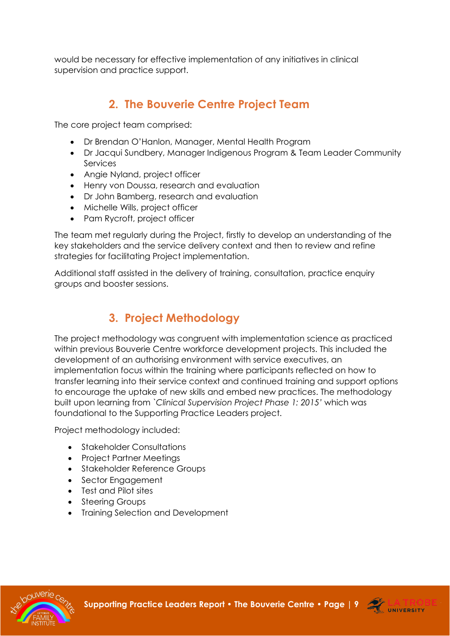<span id="page-8-0"></span>would be necessary for effective implementation of any initiatives in clinical supervision and practice support.

## **2. The Bouverie Centre Project Team**

The core project team comprised:

- Dr Brendan O'Hanlon, Manager, Mental Health Program
- Dr Jacqui Sundbery, Manager Indigenous Program & Team Leader Community Services
- Angie Nyland, project officer
- Henry von Doussa, research and evaluation
- Dr John Bamberg, research and evaluation
- Michelle Wills, project officer
- Pam Rycroft, project officer

The team met regularly during the Project, firstly to develop an understanding of the key stakeholders and the service delivery context and then to review and refine strategies for facilitating Project implementation.

<span id="page-8-1"></span>Additional staff assisted in the delivery of training, consultation, practice enquiry groups and booster sessions.

## **3. Project Methodology**

The project methodology was congruent with implementation science as practiced within previous Bouverie Centre workforce development projects. This included the development of an authorising environment with service executives, an implementation focus within the training where participants reflected on how to transfer learning into their service context and continued training and support options to encourage the uptake of new skills and embed new practices. The methodology built upon learning from *`Clinical Supervision Project Phase 1: 2015'* which was foundational to the Supporting Practice Leaders project.

Project methodology included:

- Stakeholder Consultations
- Project Partner Meetings
- Stakeholder Reference Groups
- Sector Engagement
- Test and Pilot sites
- Steering Groups
- Training Selection and Development



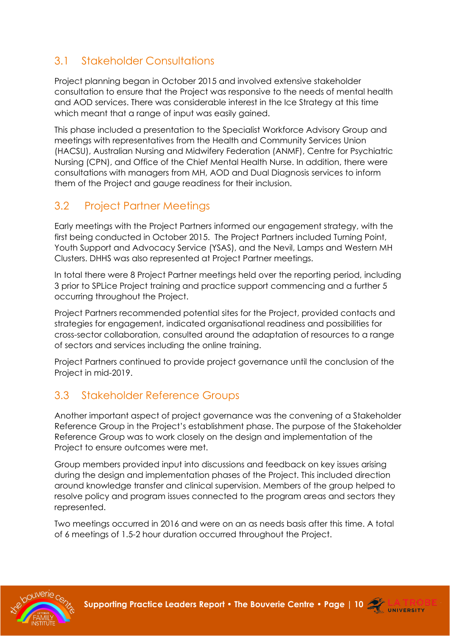## <span id="page-9-0"></span>3.1 Stakeholder Consultations

Project planning began in October 2015 and involved extensive stakeholder consultation to ensure that the Project was responsive to the needs of mental health and AOD services. There was considerable interest in the Ice Strategy at this time which meant that a range of input was easily gained.

This phase included a presentation to the Specialist Workforce Advisory Group and meetings with representatives from the Health and Community Services Union (HACSU), Australian Nursing and Midwifery Federation (ANMF), Centre for Psychiatric Nursing (CPN), and Office of the Chief Mental Health Nurse. In addition, there were consultations with managers from MH, AOD and Dual Diagnosis services to inform them of the Project and gauge readiness for their inclusion.

## <span id="page-9-1"></span>3.2 Project Partner Meetings

Early meetings with the Project Partners informed our engagement strategy, with the first being conducted in October 2015. The Project Partners included Turning Point, Youth Support and Advocacy Service (YSAS), and the Nevil, Lamps and Western MH Clusters. DHHS was also represented at Project Partner meetings.

In total there were 8 Project Partner meetings held over the reporting period, including 3 prior to SPLice Project training and practice support commencing and a further 5 occurring throughout the Project.

Project Partners recommended potential sites for the Project, provided contacts and strategies for engagement, indicated organisational readiness and possibilities for cross-sector collaboration, consulted around the adaptation of resources to a range of sectors and services including the online training.

Project Partners continued to provide project governance until the conclusion of the Project in mid-2019.

## <span id="page-9-2"></span>3.3 Stakeholder Reference Groups

Another important aspect of project governance was the convening of a Stakeholder Reference Group in the Project's establishment phase. The purpose of the Stakeholder Reference Group was to work closely on the design and implementation of the Project to ensure outcomes were met.

Group members provided input into discussions and feedback on key issues arising during the design and implementation phases of the Project. This included direction around knowledge transfer and clinical supervision. Members of the group helped to resolve policy and program issues connected to the program areas and sectors they represented.

Two meetings occurred in 2016 and were on an as needs basis after this time. A total of 6 meetings of 1.5-2 hour duration occurred throughout the Project.



**Supporting Practice Leaders Report • The Bouverie Centre • [Page | 10](http://www.bouverie.org.au/)**  $\frac{1}{24}$  **LA TRO**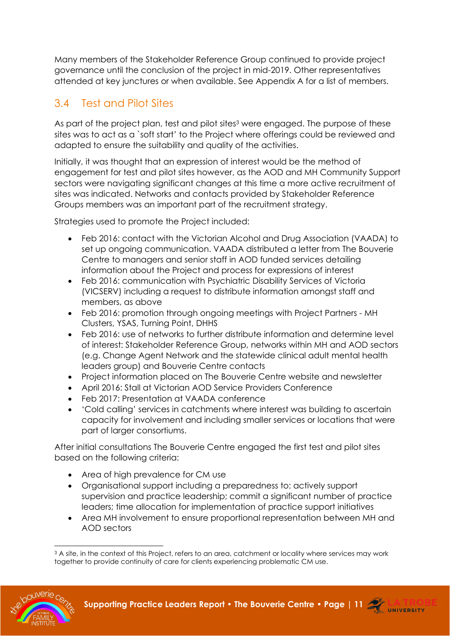Many members of the Stakeholder Reference Group continued to provide project governance until the conclusion of the project in mid-2019. Other representatives attended at key junctures or when available. See Appendix A for a list of members.

## <span id="page-10-0"></span>3.4 Test and Pilot Sites

As part of the project plan, test and pilot sites<sup>3</sup> were engaged. The purpose of these sites was to act as a `soft start' to the Project where offerings could be reviewed and adapted to ensure the suitability and quality of the activities.

Initially, it was thought that an expression of interest would be the method of engagement for test and pilot sites however, as the AOD and MH Community Support sectors were navigating significant changes at this time a more active recruitment of sites was indicated. Networks and contacts provided by Stakeholder Reference Groups members was an important part of the recruitment strategy.

Strategies used to promote the Project included:

- Feb 2016: contact with the Victorian Alcohol and Drug Association (VAADA) to set up ongoing communication. VAADA distributed a letter from The Bouverie Centre to managers and senior staff in AOD funded services detailing information about the Project and process for expressions of interest
- Feb 2016: communication with Psychiatric Disability Services of Victoria (VICSERV) including a request to distribute information amongst staff and members, as above
- Feb 2016: promotion through ongoing meetings with Project Partners MH Clusters, YSAS, Turning Point, DHHS
- Feb 2016: use of networks to further distribute information and determine level of interest: Stakeholder Reference Group, networks within MH and AOD sectors (e.g. Change Agent Network and the statewide clinical adult mental health leaders group) and Bouverie Centre contacts
- Project information placed on The Bouverie Centre website and newsletter
- April 2016: Stall at Victorian AOD Service Providers Conference
- Feb 2017: Presentation at VAADA conference
- 'Cold calling' services in catchments where interest was building to ascertain capacity for involvement and including smaller services or locations that were part of larger consortiums.

After initial consultations The Bouverie Centre engaged the first test and pilot sites based on the following criteria:

- Area of high prevalence for CM use
- Organisational support including a preparedness to: actively support supervision and practice leadership; commit a significant number of practice leaders; time allocation for implementation of practice support initiatives
- Area MH involvement to ensure proportional representation between MH and AOD sectors

<sup>&</sup>lt;sup>3</sup> A site, in the context of this Project, refers to an area, catchment or locality where services may work together to provide continuity of care for clients experiencing problematic CM use.



**Supporting Practice Leaders Report • The Bouverie Centre • [Page | 11](http://www.bouverie.org.au/) ATRO** 

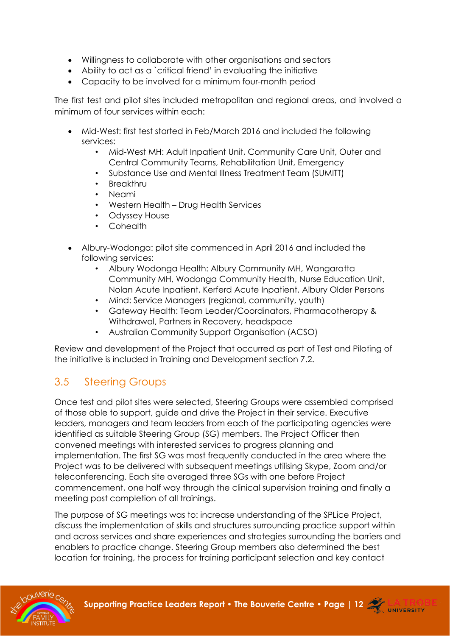- Willingness to collaborate with other organisations and sectors
- Ability to act as a `critical friend' in evaluating the initiative
- Capacity to be involved for a minimum four-month period

The first test and pilot sites included metropolitan and regional areas, and involved a minimum of four services within each:

- Mid-West: first test started in Feb/March 2016 and included the following services:
	- Mid-West MH: Adult Inpatient Unit, Community Care Unit, Outer and Central Community Teams, Rehabilitation Unit, Emergency
	- Substance Use and Mental Illness Treatment Team (SUMITT)
	- Breakthru
	- Neami
	- Western Health Drug Health Services
	- Odyssey House
	- Cohealth
- Albury-Wodonga: pilot site commenced in April 2016 and included the following services:
	- Albury Wodonga Health: Albury Community MH, Wangaratta Community MH, Wodonga Community Health, Nurse Education Unit, Nolan Acute Inpatient, Kerferd Acute Inpatient, Albury Older Persons
	- Mind: Service Managers (regional, community, youth)
	- Gateway Health: Team Leader/Coordinators, Pharmacotherapy & Withdrawal, Partners in Recovery, headspace
	- Australian Community Support Organisation (ACSO)

Review and development of the Project that occurred as part of Test and Piloting of the initiative is included in Training and Development section 7.2.

### <span id="page-11-0"></span>3.5 Steering Groups

Once test and pilot sites were selected, Steering Groups were assembled comprised of those able to support, guide and drive the Project in their service. Executive leaders, managers and team leaders from each of the participating agencies were identified as suitable Steering Group (SG) members. The Project Officer then convened meetings with interested services to progress planning and implementation. The first SG was most frequently conducted in the area where the Project was to be delivered with subsequent meetings utilising Skype, Zoom and/or teleconferencing. Each site averaged three SGs with one before Project commencement, one half way through the clinical supervision training and finally a meeting post completion of all trainings.

The purpose of SG meetings was to: increase understanding of the SPLice Project, discuss the implementation of skills and structures surrounding practice support within and across services and share experiences and strategies surrounding the barriers and enablers to practice change. Steering Group members also determined the best location for training, the process for training participant selection and key contact



**Supporting Practice Leaders Report • The Bouverie Centre • [Page | 12](http://www.bouverie.org.au/) ATRO** 

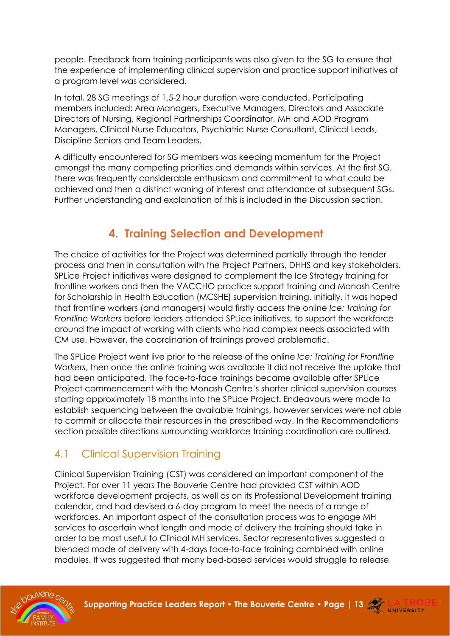people. Feedback from training participants was also given to the SG to ensure that the experience of implementing clinical supervision and practice support initiatives at a program level was considered.

In total, 28 SG meetings of 1.5-2 hour duration were conducted. Participating members included: Area Managers, Executive Managers, Directors and Associate Directors of Nursing, Regional Partnerships Coordinator, MH and AOD Program Managers, Clinical Nurse Educators, Psychiatric Nurse Consultant, Clinical Leads, Discipline Seniors and Team Leaders.

A difficulty encountered for SG members was keeping momentum for the Project amongst the many competing priorities and demands within services. At the first SG, there was frequently considerable enthusiasm and commitment to what could be achieved and then a distinct waning of interest and attendance at subsequent SGs. Further understanding and explanation of this is included in the Discussion section.

## **4. Training Selection and Development**

<span id="page-12-0"></span>The choice of activities for the Project was determined partially through the tender process and then in consultation with the Project Partners, DHHS and key stakeholders. SPLice Project initiatives were designed to complement the Ice Strategy training for frontline workers and then the VACCHO practice support training and Monash Centre for Scholarship in Health Education (MCSHE) supervision training. Initially, it was hoped that frontline workers (and managers) would firstly access the online *Ice: Training for Frontline Workers* before leaders attended SPLice initiatives, to support the workforce around the impact of working with clients who had complex needs associated with CM use. However, the coordination of trainings proved problematic.

The SPLice Project went live prior to the release of the online *Ice: Training for Frontline Workers*, then once the online training was available it did not receive the uptake that had been anticipated. The face-to-face trainings became available after SPLice Project commencement with the Monash Centre's shorter clinical supervision courses starting approximately 18 months into the SPLice Project. Endeavours were made to establish sequencing between the available trainings, however services were not able to commit or allocate their resources in the prescribed way. In the Recommendations section possible directions surrounding workforce training coordination are outlined.

## <span id="page-12-1"></span>4.1 Clinical Supervision Training

Clinical Supervision Training (CST) was considered an important component of the Project. For over 11 years The Bouverie Centre had provided CST within AOD workforce development projects, as well as on its Professional Development training calendar, and had devised a 6-day program to meet the needs of a range of workforces. An important aspect of the consultation process was to engage MH services to ascertain what length and mode of delivery the training should take in order to be most useful to Clinical MH services. Sector representatives suggested a blended mode of delivery with 4-days face-to-face training combined with online modules. It was suggested that many bed-based services would struggle to release

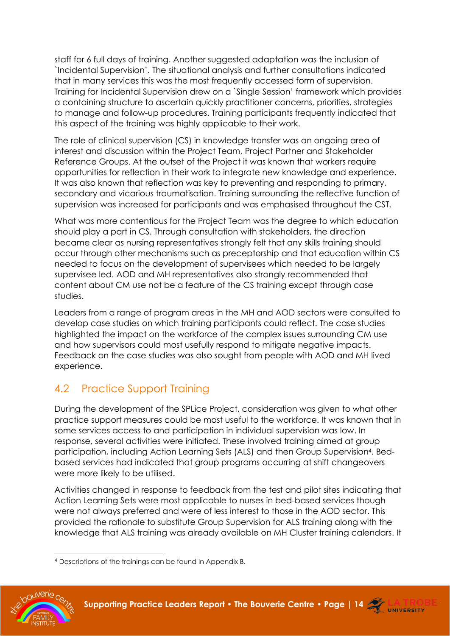staff for 6 full days of training. Another suggested adaptation was the inclusion of `Incidental Supervision'. The situational analysis and further consultations indicated that in many services this was the most frequently accessed form of supervision. Training for Incidental Supervision drew on a `Single Session' framework which provides a containing structure to ascertain quickly practitioner concerns, priorities, strategies to manage and follow-up procedures. Training participants frequently indicated that this aspect of the training was highly applicable to their work.

The role of clinical supervision (CS) in knowledge transfer was an ongoing area of interest and discussion within the Project Team, Project Partner and Stakeholder Reference Groups. At the outset of the Project it was known that workers require opportunities for reflection in their work to integrate new knowledge and experience. It was also known that reflection was key to preventing and responding to primary, secondary and vicarious traumatisation. Training surrounding the reflective function of supervision was increased for participants and was emphasised throughout the CST.

What was more contentious for the Project Team was the degree to which education should play a part in CS. Through consultation with stakeholders, the direction became clear as nursing representatives strongly felt that any skills training should occur through other mechanisms such as preceptorship and that education within CS needed to focus on the development of supervisees which needed to be largely supervisee led. AOD and MH representatives also strongly recommended that content about CM use not be a feature of the CS training except through case studies.

Leaders from a range of program areas in the MH and AOD sectors were consulted to develop case studies on which training participants could reflect. The case studies highlighted the impact on the workforce of the complex issues surrounding CM use and how supervisors could most usefully respond to mitigate negative impacts. Feedback on the case studies was also sought from people with AOD and MH lived experience.

## <span id="page-13-0"></span>4.2 Practice Support Training

During the development of the SPLice Project, consideration was given to what other practice support measures could be most useful to the workforce. It was known that in some services access to and participation in individual supervision was low. In response, several activities were initiated. These involved training aimed at group participation, including Action Learning Sets (ALS) and then Group Supervision<sup>4</sup> . Bedbased services had indicated that group programs occurring at shift changeovers were more likely to be utilised.

Activities changed in response to feedback from the test and pilot sites indicating that Action Learning Sets were most applicable to nurses in bed-based services though were not always preferred and were of less interest to those in the AOD sector. This provided the rationale to substitute Group Supervision for ALS training along with the knowledge that ALS training was already available on MH Cluster training calendars. It

<sup>4</sup> Descriptions of the trainings can be found in Appendix B.



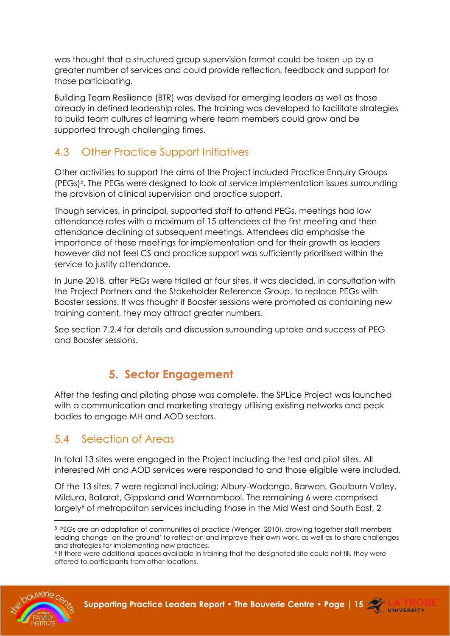was thought that a structured group supervision format could be taken up by a greater number of services and could provide reflection, feedback and support for those participating.

Building Team Resilience (BTR) was devised for emerging leaders as well as those already in defined leadership roles. The training was developed to facilitate strategies to build team cultures of learning where team members could grow and be supported through challenging times.

## <span id="page-14-0"></span>4.3 Other Practice Support Initiatives

Other activities to support the aims of the Project included Practice Enquiry Groups (PEGs) 5 . The PEGs were designed to look at service implementation issues surrounding the provision of clinical supervision and practice support.

Though services, in principal, supported staff to attend PEGs, meetings had low attendance rates with a maximum of 15 attendees at the first meeting and then attendance declining at subsequent meetings. Attendees did emphasise the importance of these meetings for implementation and for their growth as leaders however did not feel CS and practice support was sufficiently prioritised within the service to justify attendance.

In June 2018, after PEGs were trialled at four sites, it was decided, in consultation with the Project Partners and the Stakeholder Reference Group, to replace PEGs with Booster sessions. It was thought if Booster sessions were promoted as containing new training content, they may attract greater numbers.

<span id="page-14-1"></span>See section 7.2.4 for details and discussion surrounding uptake and success of PEG and Booster sessions.

## **5. Sector Engagement**

After the testing and piloting phase was complete, the SPLice Project was launched with a communication and marketing strategy utilising existing networks and peak bodies to engage MH and AOD sectors.

## <span id="page-14-2"></span>5.4 Selection of Areas

In total 13 sites were engaged in the Project including the test and pilot sites. All interested MH and AOD services were responded to and those eligible were included.

Of the 13 sites, 7 were regional including: Albury-Wodonga, Barwon, Goulburn Valley, Mildura, Ballarat, Gippsland and Warrnambool. The remaining 6 were comprised largely<sup>6</sup> of metropolitan services including those in the Mid West and South East, 2

<sup>6</sup> If there were additional spaces available in training that the designated site could not fill, they were offered to participants from other locations.





<sup>5</sup> PEGs are an adaptation of communities of practice (Wenger, 2010), drawing together staff members leading change 'on the ground' to reflect on and improve their own work, as well as to share challenges and strategies for implementing new practices.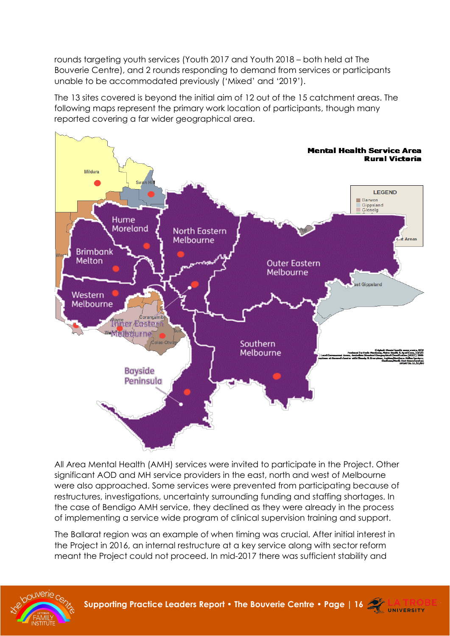rounds targeting youth services (Youth 2017 and Youth 2018 – both held at The Bouverie Centre), and 2 rounds responding to demand from services or participants unable to be accommodated previously ('Mixed' and '2019').

The 13 sites covered is beyond the initial aim of 12 out of the 15 catchment areas. The following maps represent the primary work location of participants, though many reported covering a far wider geographical area.



All Area Mental Health (AMH) services were invited to participate in the Project. Other significant AOD and MH service providers in the east, north and west of Melbourne were also approached. Some services were prevented from participating because of restructures, investigations, uncertainty surrounding funding and staffing shortages. In the case of Bendigo AMH service, they declined as they were already in the process of implementing a service wide program of clinical supervision training and support.

The Ballarat region was an example of when timing was crucial. After initial interest in the Project in 2016, an internal restructure at a key service along with sector reform meant the Project could not proceed. In mid-2017 there was sufficient stability and

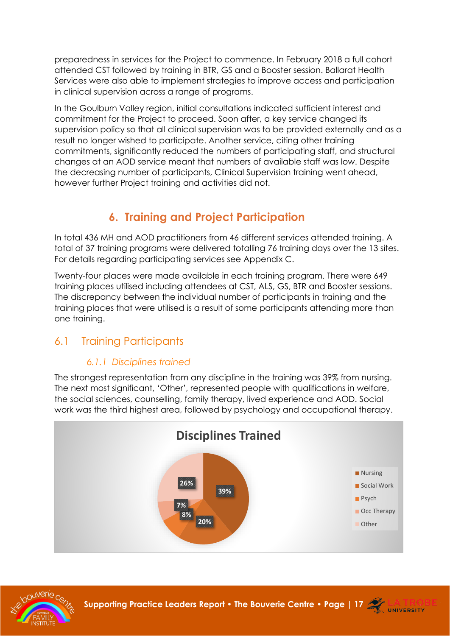preparedness in services for the Project to commence. In February 2018 a full cohort attended CST followed by training in BTR, GS and a Booster session. Ballarat Health Services were also able to implement strategies to improve access and participation in clinical supervision across a range of programs.

In the Goulburn Valley region, initial consultations indicated sufficient interest and commitment for the Project to proceed. Soon after, a key service changed its supervision policy so that all clinical supervision was to be provided externally and as a result no longer wished to participate. Another service, citing other training commitments, significantly reduced the numbers of participating staff, and structural changes at an AOD service meant that numbers of available staff was low. Despite the decreasing number of participants, Clinical Supervision training went ahead, however further Project training and activities did not.

## **6. Training and Project Participation**

<span id="page-16-0"></span>In total 436 MH and AOD practitioners from 46 different services attended training. A total of 37 training programs were delivered totalling 76 training days over the 13 sites. For details regarding participating services see Appendix C.

Twenty-four places were made available in each training program. There were 649 training places utilised including attendees at CST, ALS, GS, BTR and Booster sessions. The discrepancy between the individual number of participants in training and the training places that were utilised is a result of some participants attending more than one training.

## <span id="page-16-1"></span>6.1 Training Participants

### *6.1.1 Disciplines trained*

The strongest representation from any discipline in the training was 39% from nursing. The next most significant, 'Other', represented people with qualifications in welfare, the social sciences, counselling, family therapy, lived experience and AOD. Social work was the third highest area, followed by psychology and occupational therapy.





**Supporting Practice Leaders Report • The Bouverie Centre • [Page | 17](http://www.bouverie.org.au/) <b>ATRO**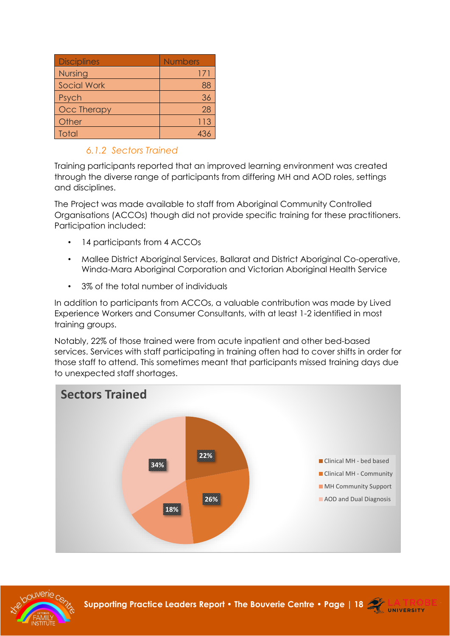| <b>Disciplines</b> | <b>Numbers</b> |
|--------------------|----------------|
| <b>Nursing</b>     | 171            |
| <b>Social Work</b> | 88             |
| Psych              | 36             |
| <b>Occ Therapy</b> | 28             |
| Other              | 113            |
| Total              |                |

### *6.1.2 Sectors Trained*

Training participants reported that an improved learning environment was created through the diverse range of participants from differing MH and AOD roles, settings and disciplines.

The Project was made available to staff from Aboriginal Community Controlled Organisations (ACCOs) though did not provide specific training for these practitioners. Participation included:

- 14 participants from 4 ACCOs
- Mallee District Aboriginal Services, Ballarat and District Aboriginal Co-operative, Winda-Mara Aboriginal Corporation and Victorian Aboriginal Health Service
- 3% of the total number of individuals

In addition to participants from ACCOs, a valuable contribution was made by Lived Experience Workers and Consumer Consultants, with at least 1-2 identified in most training groups.

Notably, 22% of those trained were from acute inpatient and other bed-based services. Services with staff participating in training often had to cover shifts in order for those staff to attend. This sometimes meant that participants missed training days due to unexpected staff shortages.





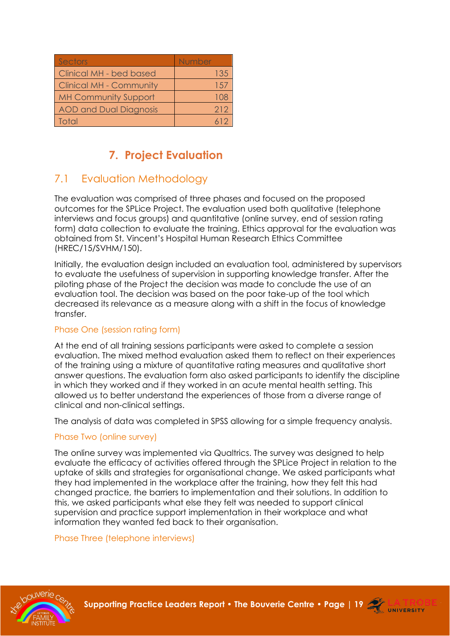| Sectors                        | Number |
|--------------------------------|--------|
| Clinical MH - bed based        | 135    |
| <b>Clinical MH - Community</b> | 1.57   |
| <b>MH Community Support</b>    |        |
| <b>AOD and Dual Diagnosis</b>  | 212    |
| Total                          |        |

## **7. Project Evaluation**

## <span id="page-18-1"></span><span id="page-18-0"></span>7.1 Evaluation Methodology

The evaluation was comprised of three phases and focused on the proposed outcomes for the SPLice Project. The evaluation used both qualitative (telephone interviews and focus groups) and quantitative (online survey, end of session rating form) data collection to evaluate the training. Ethics approval for the evaluation was obtained from St. Vincent's Hospital Human Research Ethics Committee (HREC/15/SVHM/150).

Initially, the evaluation design included an evaluation tool, administered by supervisors to evaluate the usefulness of supervision in supporting knowledge transfer. After the piloting phase of the Project the decision was made to conclude the use of an evaluation tool. The decision was based on the poor take-up of the tool which decreased its relevance as a measure along with a shift in the focus of knowledge transfer.

#### Phase One (session rating form)

At the end of all training sessions participants were asked to complete a session evaluation. The mixed method evaluation asked them to reflect on their experiences of the training using a mixture of quantitative rating measures and qualitative short answer questions. The evaluation form also asked participants to identify the discipline in which they worked and if they worked in an acute mental health setting. This allowed us to better understand the experiences of those from a diverse range of clinical and non-clinical settings.

The analysis of data was completed in SPSS allowing for a simple frequency analysis.

#### Phase Two (online survey)

The online survey was implemented via Qualtrics. The survey was designed to help evaluate the efficacy of activities offered through the SPLice Project in relation to the uptake of skills and strategies for organisational change. We asked participants what they had implemented in the workplace after the training, how they felt this had changed practice, the barriers to implementation and their solutions. In addition to this, we asked participants what else they felt was needed to support clinical supervision and practice support implementation in their workplace and what information they wanted fed back to their organisation.

Phase Three (telephone interviews)



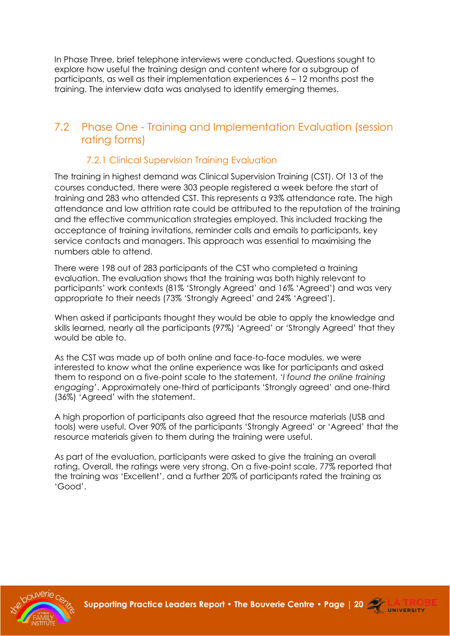In Phase Three, brief telephone interviews were conducted. Questions sought to explore how useful the training design and content where for a subgroup of participants, as well as their implementation experiences 6 – 12 months post the training. The interview data was analysed to identify emerging themes.

### <span id="page-19-0"></span>7.2 Phase One - Training and Implementation Evaluation (session rating forms)

### 7.2.1 Clinical Supervision Training Evaluation

<span id="page-19-1"></span>The training in highest demand was Clinical Supervision Training (CST). Of 13 of the courses conducted, there were 303 people registered a week before the start of training and 283 who attended CST. This represents a 93% attendance rate. The high attendance and low attrition rate could be attributed to the reputation of the training and the effective communication strategies employed. This included tracking the acceptance of training invitations, reminder calls and emails to participants, key service contacts and managers. This approach was essential to maximising the numbers able to attend.

There were 198 out of 283 participants of the CST who completed a training evaluation. The evaluation shows that the training was both highly relevant to participants' work contexts (81% 'Strongly Agreed' and 16% 'Agreed') and was very appropriate to their needs (73% 'Strongly Agreed' and 24% 'Agreed').

When asked if participants thought they would be able to apply the knowledge and skills learned, nearly all the participants (97%) 'Agreed' or 'Strongly Agreed' that they would be able to.

As the CST was made up of both online and face-to-face modules, we were interested to know what the online experience was like for participants and asked them to respond on a five-point scale to the statement, '*I found the online training engaging*'. Approximately one-third of participants 'Strongly agreed' and one-third (36%) 'Agreed' with the statement.

A high proportion of participants also agreed that the resource materials (USB and tools) were useful. Over 90% of the participants 'Strongly Agreed' or 'Agreed' that the resource materials given to them during the training were useful.

As part of the evaluation, participants were asked to give the training an overall rating. Overall, the ratings were very strong. On a five-point scale, 77% reported that the training was 'Excellent', and a further 20% of participants rated the training as 'Good'.



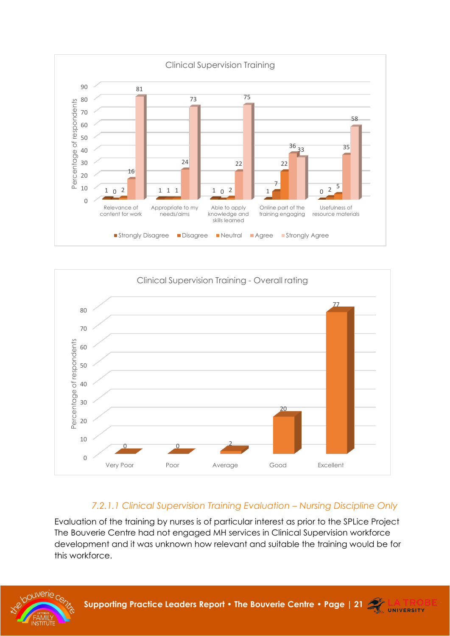



### *7.2.1.1 Clinical Supervision Training Evaluation – Nursing Discipline Only*

Evaluation of the training by nurses is of particular interest as prior to the SPLice Project The Bouverie Centre had not engaged MH services in Clinical Supervision workforce development and it was unknown how relevant and suitable the training would be for this workforce.

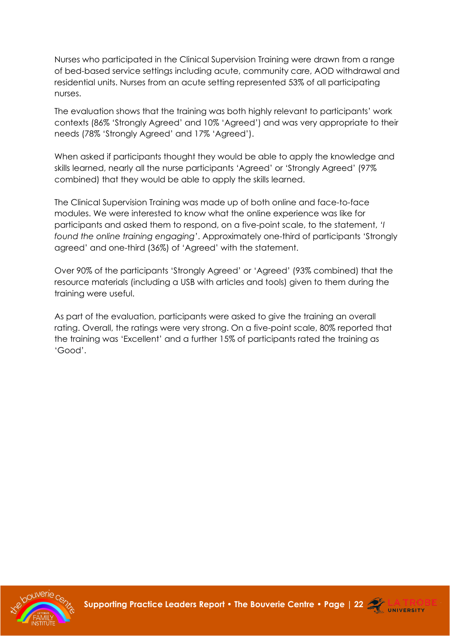Nurses who participated in the Clinical Supervision Training were drawn from a range of bed-based service settings including acute, community care, AOD withdrawal and residential units. Nurses from an acute setting represented 53% of all participating nurses.

The evaluation shows that the training was both highly relevant to participants' work contexts (86% 'Strongly Agreed' and 10% 'Agreed') and was very appropriate to their needs (78% 'Strongly Agreed' and 17% 'Agreed').

When asked if participants thought they would be able to apply the knowledge and skills learned, nearly all the nurse participants 'Agreed' or 'Strongly Agreed' (97% combined) that they would be able to apply the skills learned.

The Clinical Supervision Training was made up of both online and face-to-face modules. We were interested to know what the online experience was like for participants and asked them to respond, on a five-point scale, to the statement, *'I found the online training engaging'*. Approximately one-third of participants 'Strongly agreed' and one-third (36%) of 'Agreed' with the statement.

Over 90% of the participants 'Strongly Agreed' or 'Agreed' (93% combined) that the resource materials (including a USB with articles and tools) given to them during the training were useful.

As part of the evaluation, participants were asked to give the training an overall rating. Overall, the ratings were very strong. On a five-point scale, 80% reported that the training was 'Excellent' and a further 15% of participants rated the training as 'Good'.



**Supporting Practice Leaders Report • The Bouverie Centre • [Page | 22](http://www.bouverie.org.au/) <b>ALLA TRO** 

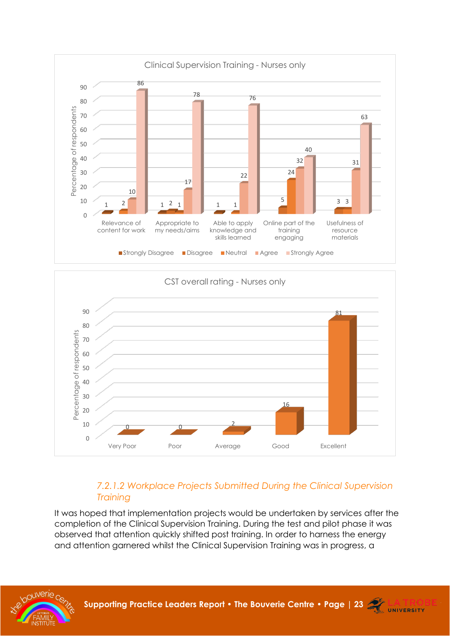



### *7.2.1.2 Workplace Projects Submitted During the Clinical Supervision Training*

It was hoped that implementation projects would be undertaken by services after the completion of the Clinical Supervision Training. During the test and pilot phase it was observed that attention quickly shifted post training. In order to harness the energy and attention garnered whilst the Clinical Supervision Training was in progress, a



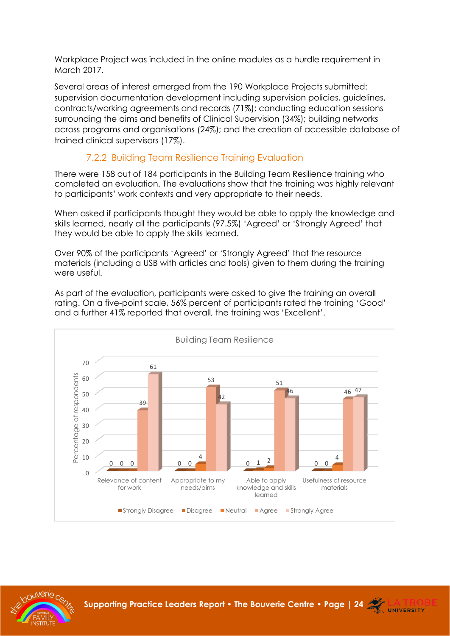Workplace Project was included in the online modules as a hurdle requirement in March 2017.

Several areas of interest emerged from the 190 Workplace Projects submitted: supervision documentation development including supervision policies, guidelines, contracts/working agreements and records (71%); conducting education sessions surrounding the aims and benefits of Clinical Supervision (34%); building networks across programs and organisations (24%); and the creation of accessible database of trained clinical supervisors (17%).

### 7.2.2 Building Team Resilience Training Evaluation

<span id="page-23-0"></span>There were 158 out of 184 participants in the Building Team Resilience training who completed an evaluation. The evaluations show that the training was highly relevant to participants' work contexts and very appropriate to their needs.

When asked if participants thought they would be able to apply the knowledge and skills learned, nearly all the participants (97.5%) 'Agreed' or 'Strongly Agreed' that they would be able to apply the skills learned.

Over 90% of the participants 'Agreed' or 'Strongly Agreed' that the resource materials (including a USB with articles and tools) given to them during the training were useful.

As part of the evaluation, participants were asked to give the training an overall rating. On a five-point scale, 56% percent of participants rated the training 'Good' and a further 41% reported that overall, the training was 'Excellent'.



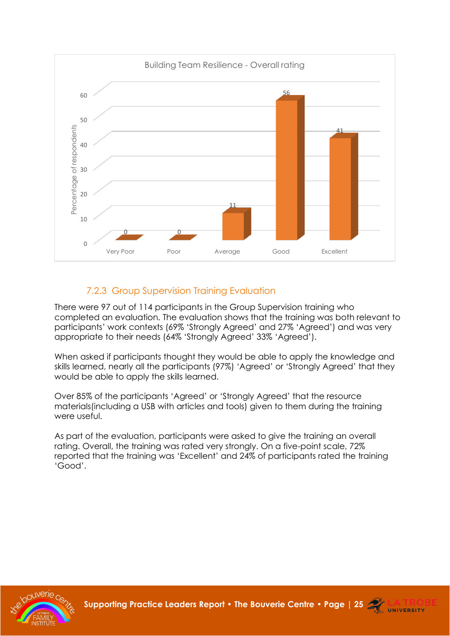

### 7.2.3 Group Supervision Training Evaluation

<span id="page-24-0"></span>There were 97 out of 114 participants in the Group Supervision training who completed an evaluation. The evaluation shows that the training was both relevant to participants' work contexts (69% 'Strongly Agreed' and 27% 'Agreed') and was very appropriate to their needs (64% 'Strongly Agreed' 33% 'Agreed').

When asked if participants thought they would be able to apply the knowledge and skills learned, nearly all the participants (97%) 'Agreed' or 'Strongly Agreed' that they would be able to apply the skills learned.

Over 85% of the participants 'Agreed' or 'Strongly Agreed' that the resource materials(including a USB with articles and tools) given to them during the training were useful.

As part of the evaluation, participants were asked to give the training an overall rating. Overall, the training was rated very strongly. On a five-point scale, 72% reported that the training was 'Excellent' and 24% of participants rated the training 'Good'.



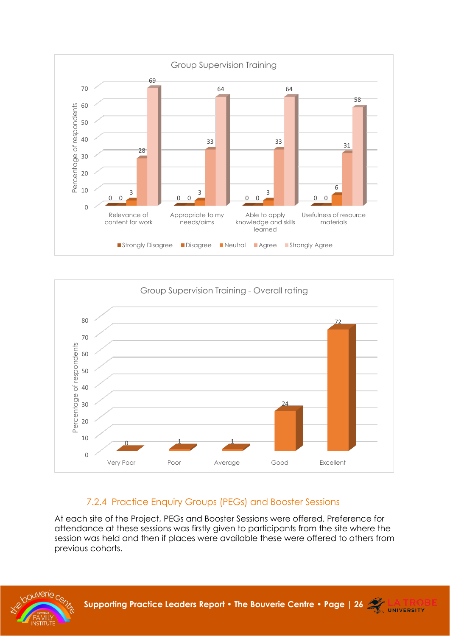



### 7.2.4 Practice Enquiry Groups (PEGs) and Booster Sessions

<span id="page-25-0"></span>At each site of the Project, PEGs and Booster Sessions were offered. Preference for attendance at these sessions was firstly given to participants from the site where the session was held and then if places were available these were offered to others from previous cohorts.

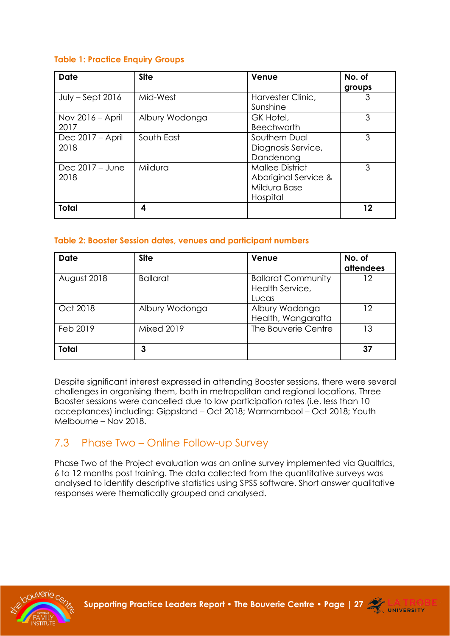#### **Table 1: Practice Enquiry Groups**

| Date               | <b>Site</b>    | Venue                  | No. of |
|--------------------|----------------|------------------------|--------|
|                    |                |                        | groups |
| $July - Sept 2016$ | Mid-West       | Harvester Clinic,      | 3      |
|                    |                | Sunshine               |        |
| Nov $2016 -$ April | Albury Wodonga | GK Hotel,              | 3      |
| 2017               |                | <b>Beechworth</b>      |        |
| Dec 2017 – April   | South East     | Southern Dual          | 3      |
| 2018               |                | Diagnosis Service,     |        |
|                    |                | Dandenong              |        |
| Dec $2017 -$ June  | Mildura        | <b>Mallee District</b> | 3      |
| 2018               |                | Aboriginal Service &   |        |
|                    |                | Mildura Base           |        |
|                    |                | Hospital               |        |
| <b>Total</b>       | 4              |                        | 12     |

#### **Table 2: Booster Session dates, venues and participant numbers**

| <b>Date</b>  | <b>Site</b>       | Venue                                                 | No. of<br>attendees |
|--------------|-------------------|-------------------------------------------------------|---------------------|
| August 2018  | <b>Ballarat</b>   | <b>Ballarat Community</b><br>Health Service,<br>Lucas | 12                  |
| Oct 2018     | Albury Wodonga    | Albury Wodonga<br>Health, Wangaratta                  | 12                  |
| Feb 2019     | <b>Mixed 2019</b> | The Bouverie Centre                                   | 13                  |
| <b>Total</b> | 3                 |                                                       | 37                  |

Despite significant interest expressed in attending Booster sessions, there were several challenges in organising them, both in metropolitan and regional locations. Three Booster sessions were cancelled due to low participation rates (i.e. less than 10 acceptances) including: Gippsland – Oct 2018; Warrnambool – Oct 2018; Youth Melbourne – Nov 2018.

### <span id="page-26-0"></span>7.3 Phase Two – Online Follow-up Survey

Phase Two of the Project evaluation was an online survey implemented via Qualtrics, 6 to 12 months post training. The data collected from the quantitative surveys was analysed to identify descriptive statistics using SPSS software. Short answer qualitative responses were thematically grouped and analysed.

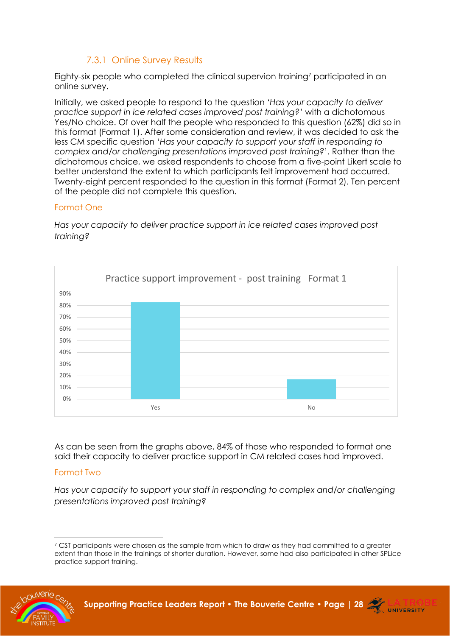### 7.3.1 Online Survey Results

<span id="page-27-0"></span>Eighty-six people who completed the clinical supervion training<sup>7</sup> participated in an online survey.

Initially, we asked people to respond to the question '*Has your capacity to deliver practice support in ice related cases improved post training?*' with a dichotomous Yes/No choice. Of over half the people who responded to this question (62%) did so in this format (Format 1). After some consideration and review, it was decided to ask the less CM specific question '*Has your capacity to support your staff in responding to complex and/or challenging presentations improved post training?*'. Rather than the dichotomous choice, we asked respondents to choose from a five-point Likert scale to better understand the extent to which participants felt improvement had occurred. Twenty-eight percent responded to the question in this format (Format 2). Ten percent of the people did not complete this question.

#### Format One

0%  $10%$ 20% 30% 40% 50% 60% 70% 80% 90% **The Second Second Second Second Second Second Second Second Second Second Second Second Second Second Second Second Second Second Second Second Second Second Second Second Second Second Second Second Second Second Second** Practice support improvement - post training Format 1

*Has your capacity to deliver practice support in ice related cases improved post training?*

As can be seen from the graphs above, 84% of those who responded to format one said their capacity to deliver practice support in CM related cases had improved.

#### Format Two

*Has your capacity to support your staff in responding to complex and/or challenging presentations improved post training?*

 $7$  CST participants were chosen as the sample from which to draw as they had committed to a greater extent than those in the trainings of shorter duration. However, some had also participated in other SPLice practice support training.



**Supporting Practice Leaders Report • The Bouverie Centre • [Page | 28](http://www.bouverie.org.au/) 27 LA TRO** 

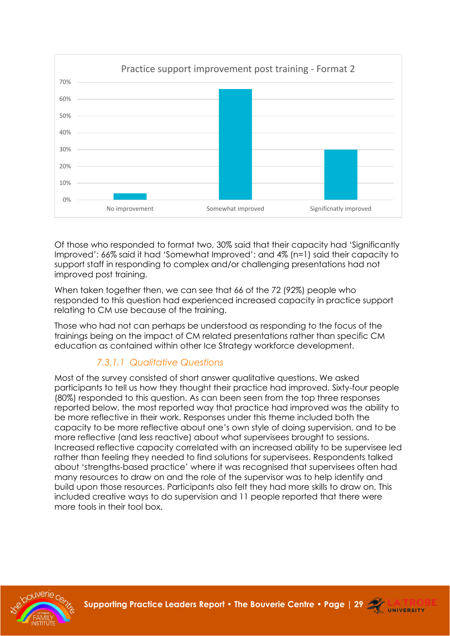

Of those who responded to format two, 30% said that their capacity had 'Significantly Improved'; 66% said it had 'Somewhat Improved'; and 4% (n=1) said their capacity to support staff in responding to complex and/or challenging presentations had not improved post training.

When taken together then, we can see that 66 of the 72 (92%) people who responded to this question had experienced increased capacity in practice support relating to CM use because of the training.

Those who had not can perhaps be understood as responding to the focus of the trainings being on the impact of CM related presentations rather than specific CM education as contained within other Ice Strategy workforce development.

### *7.3.1.1 Qualitative Questions*

Most of the survey consisted of short answer qualitative questions. We asked participants to tell us how they thought their practice had improved. Sixty-four people (80%) responded to this question. As can been seen from the top three responses reported below, the most reported way that practice had improved was the ability to be more reflective in their work. Responses under this theme included both the capacity to be more reflective about one's own style of doing supervision, and to be more reflective (and less reactive) about what supervisees brought to sessions. Increased reflective capacity correlated with an increased ability to be supervisee led rather than feeling they needed to find solutions for supervisees. Respondents talked about 'strengths-based practice' where it was recognised that supervisees often had many resources to draw on and the role of the supervisor was to help identify and build upon those resources. Participants also felt they had more skills to draw on. This included creative ways to do supervision and 11 people reported that there were more tools in their tool box.



**Supporting Practice Leaders Report • The Bouverie Centre • [Page | 29](http://www.bouverie.org.au/) <b>ALLA TRO**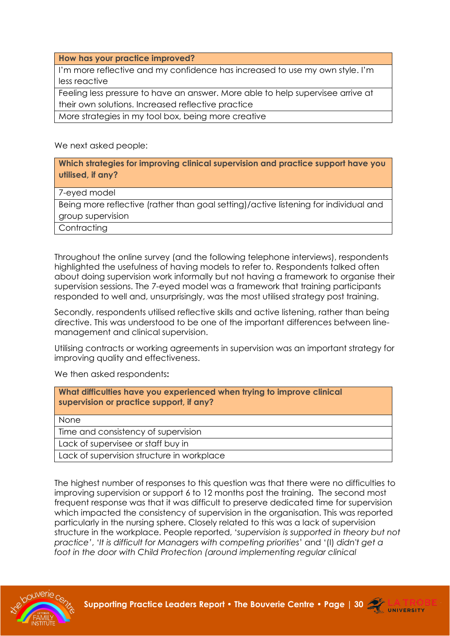**How has your practice improved?**

I'm more reflective and my confidence has increased to use my own style. I'm less reactive

Feeling less pressure to have an answer. More able to help supervisee arrive at their own solutions. Increased reflective practice

More strategies in my tool box, being more creative

We next asked people:

**Which strategies for improving clinical supervision and practice support have you utilised, if any?**

7-eyed model

Being more reflective (rather than goal setting)/active listening for individual and group supervision

**Contracting** 

Throughout the online survey (and the following telephone interviews), respondents highlighted the usefulness of having models to refer to. Respondents talked often about doing supervision work informally but not having a framework to organise their supervision sessions. The 7-eyed model was a framework that training participants responded to well and, unsurprisingly, was the most utilised strategy post training.

Secondly, respondents utilised reflective skills and active listening, rather than being directive. This was understood to be one of the important differences between linemanagement and clinical supervision.

Utilising contracts or working agreements in supervision was an important strategy for improving quality and effectiveness.

We then asked respondents**:**

| What difficulties have you experienced when trying to improve clinical<br>supervision or practice support, if any? |  |
|--------------------------------------------------------------------------------------------------------------------|--|
| None                                                                                                               |  |
| Time and consistency of supervision                                                                                |  |
| Lack of supervisee or staff buy in                                                                                 |  |
| Lack of supervision structure in workplace                                                                         |  |

The highest number of responses to this question was that there were no difficulties to improving supervision or support 6 to 12 months post the training. The second most frequent response was that it was difficult to preserve dedicated time for supervision which impacted the consistency of supervision in the organisation. This was reported particularly in the nursing sphere. Closely related to this was a lack of supervision structure in the workplace. People reported, '*supervision is supported in theory but not practice'*, '*It is difficult for Managers with competing priorities*' and '(I) *didn't get a*  foot in the door with Child Protection (around implementing regular clinical



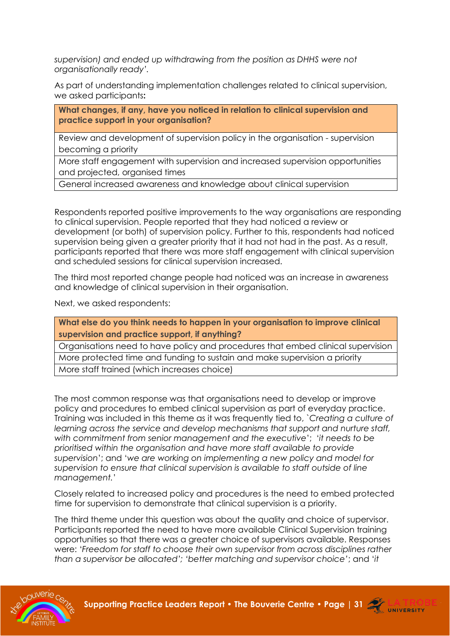*supervision) and ended up withdrawing from the position as DHHS were not organisationally ready'.*

As part of understanding implementation challenges related to clinical supervision, we asked participants**:**

**What changes, if any, have you noticed in relation to clinical supervision and practice support in your organisation?**

Review and development of supervision policy in the organisation - supervision becoming a priority

More staff engagement with supervision and increased supervision opportunities and projected, organised times

General increased awareness and knowledge about clinical supervision

Respondents reported positive improvements to the way organisations are responding to clinical supervision. People reported that they had noticed a review or development (or both) of supervision policy. Further to this, respondents had noticed supervision being given a greater priority that it had not had in the past. As a result, participants reported that there was more staff engagement with clinical supervision and scheduled sessions for clinical supervision increased.

The third most reported change people had noticed was an increase in awareness and knowledge of clinical supervision in their organisation.

Next, we asked respondents:

**What else do you think needs to happen in your organisation to improve clinical supervision and practice support, if anything?**

Organisations need to have policy and procedures that embed clinical supervision

More protected time and funding to sustain and make supervision a priority

More staff trained (which increases choice)

The most common response was that organisations need to develop or improve policy and procedures to embed clinical supervision as part of everyday practice. Training was included in this theme as it was frequently tied to, `*Creating a culture of learning across the service and develop mechanisms that support and nurture staff, with commitment from senior management and the executive*'; '*it needs to be prioritised within the organisation and have more staff available to provide supervision*'; and '*we are working on implementing a new policy and model for supervision to ensure that clinical supervision is available to staff outside of line management.*'

Closely related to increased policy and procedures is the need to embed protected time for supervision to demonstrate that clinical supervision is a priority.

The third theme under this question was about the quality and choice of supervisor. Participants reported the need to have more available Clinical Supervision training opportunities so that there was a greater choice of supervisors available. Responses were: '*Freedom for staff to choose their own supervisor from across disciplines rather than a supervisor be allocated'; 'better matching and supervisor choice'*; and '*it* 



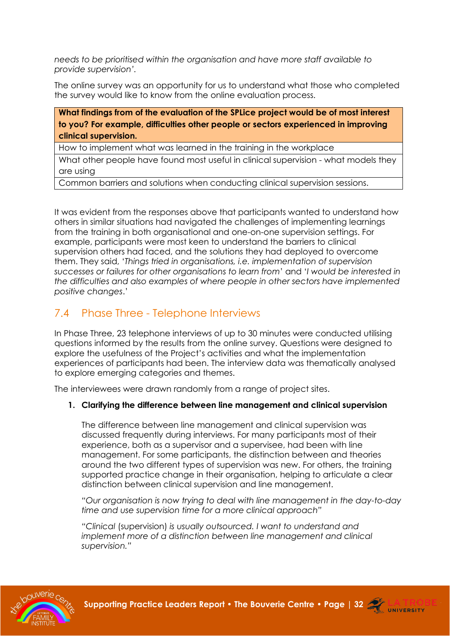*needs to be prioritised within the organisation and have more staff available to provide supervision'.*

The online survey was an opportunity for us to understand what those who completed the survey would like to know from the online evaluation process.

**What findings from of the evaluation of the SPLice project would be of most interest to you? For example, difficulties other people or sectors experienced in improving clinical supervision.**

How to implement what was learned in the training in the workplace

What other people have found most useful in clinical supervision - what models they are using

Common barriers and solutions when conducting clinical supervision sessions.

It was evident from the responses above that participants wanted to understand how others in similar situations had navigated the challenges of implementing learnings from the training in both organisational and one-on-one supervision settings. For example, participants were most keen to understand the barriers to clinical supervision others had faced, and the solutions they had deployed to overcome them. They said, '*Things tried in organisations, i.e. implementation of supervision successes or failures for other organisations to learn from*' and '*I would be interested in the difficulties and also examples of where people in other sectors have implemented positive changes*.'

### <span id="page-31-0"></span>7.4 Phase Three - Telephone Interviews

In Phase Three, 23 telephone interviews of up to 30 minutes were conducted utilising questions informed by the results from the online survey. Questions were designed to explore the usefulness of the Project's activities and what the implementation experiences of participants had been. The interview data was thematically analysed to explore emerging categories and themes.

The interviewees were drawn randomly from a range of project sites.

#### **1. Clarifying the difference between line management and clinical supervision**

The difference between line management and clinical supervision was discussed frequently during interviews. For many participants most of their experience, both as a supervisor and a supervisee, had been with line management. For some participants, the distinction between and theories around the two different types of supervision was new. For others, the training supported practice change in their organisation, helping to articulate a clear distinction between clinical supervision and line management.

*"Our organisation is now trying to deal with line management in the day-to-day time and use supervision time for a more clinical approach"*

*"Clinical* (supervision) *is usually outsourced. I want to understand and implement more of a distinction between line management and clinical supervision."*



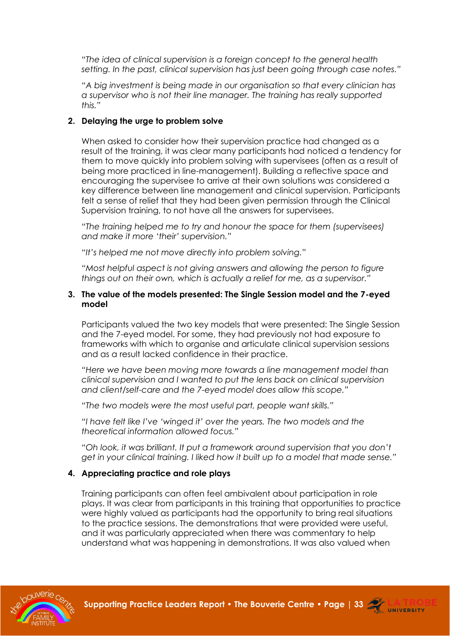*"The idea of clinical supervision is a foreign concept to the general health setting. In the past, clinical supervision has just been going through case notes."*

*"A big investment is being made in our organisation so that every clinician has a supervisor who is not their line manager. The training has really supported this."*

#### **2. Delaying the urge to problem solve**

When asked to consider how their supervision practice had changed as a result of the training, it was clear many participants had noticed a tendency for them to move quickly into problem solving with supervisees (often as a result of being more practiced in line-management). Building a reflective space and encouraging the supervisee to arrive at their own solutions was considered a key difference between line management and clinical supervision. Participants felt a sense of relief that they had been given permission through the Clinical Supervision training, to not have all the answers for supervisees.

*"The training helped me to try and honour the space for them (supervisees) and make it more 'their' supervision."*

*"It's helped me not move directly into problem solving."*

*"Most helpful aspect is not giving answers and allowing the person to figure things out on their own, which is actually a relief for me, as a supervisor."*

#### **3. The value of the models presented: The Single Session model and the 7-eyed model**

Participants valued the two key models that were presented: The Single Session and the 7-eyed model. For some, they had previously not had exposure to frameworks with which to organise and articulate clinical supervision sessions and as a result lacked confidence in their practice.

*"Here we have been moving more towards a line management model than clinical supervision and I wanted to put the lens back on clinical supervision and client/self-care and the 7-eyed model does allow this scope."*

*"The two models were the most useful part, people want skills."*

*"I have felt like I've 'winged it' over the years. The two models and the theoretical information allowed focus."*

*"Oh look, it was brilliant. It put a framework around supervision that you don't get in your clinical training. I liked how it built up to a model that made sense."*

#### **4. Appreciating practice and role plays**

Training participants can often feel ambivalent about participation in role plays. It was clear from participants in this training that opportunities to practice were highly valued as participants had the opportunity to bring real situations to the practice sessions. The demonstrations that were provided were useful, and it was particularly appreciated when there was commentary to help understand what was happening in demonstrations. It was also valued when



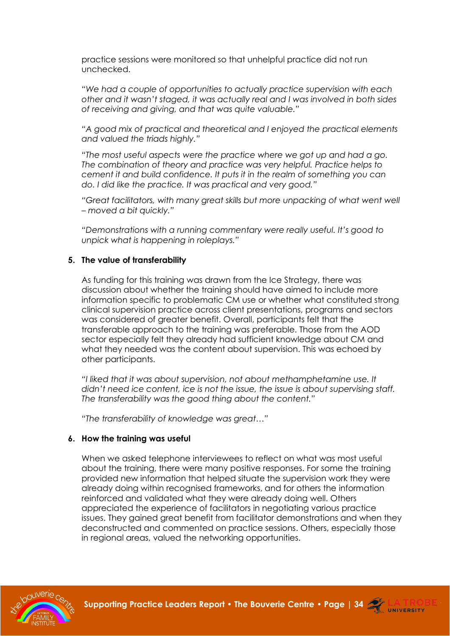practice sessions were monitored so that unhelpful practice did not run unchecked.

*"We had a couple of opportunities to actually practice supervision with each other and it wasn't staged, it was actually real and I was involved in both sides of receiving and giving, and that was quite valuable."*

*"A good mix of practical and theoretical and I enjoyed the practical elements and valued the triads highly."*

*"The most useful aspects were the practice where we got up and had a go. The combination of theory and practice was very helpful. Practice helps to cement it and build confidence. It puts it in the realm of something you can do. I did like the practice. It was practical and very good."*

*"Great facilitators, with many great skills but more unpacking of what went well – moved a bit quickly."*

*"Demonstrations with a running commentary were really useful. It's good to unpick what is happening in roleplays."*

#### **5. The value of transferability**

As funding for this training was drawn from the Ice Strategy, there was discussion about whether the training should have aimed to include more information specific to problematic CM use or whether what constituted strong clinical supervision practice across client presentations, programs and sectors was considered of greater benefit. Overall, participants felt that the transferable approach to the training was preferable. Those from the AOD sector especially felt they already had sufficient knowledge about CM and what they needed was the content about supervision. This was echoed by other participants.

*"I liked that it was about supervision, not about methamphetamine use. It didn't need ice content, ice is not the issue, the issue is about supervising staff. The transferability was the good thing about the content."*

*"The transferability of knowledge was great…"*

#### **6. How the training was useful**

When we asked telephone interviewees to reflect on what was most useful about the training, there were many positive responses. For some the training provided new information that helped situate the supervision work they were already doing within recognised frameworks, and for others the information reinforced and validated what they were already doing well. Others appreciated the experience of facilitators in negotiating various practice issues. They gained great benefit from facilitator demonstrations and when they deconstructed and commented on practice sessions. Others, especially those in regional areas, valued the networking opportunities.



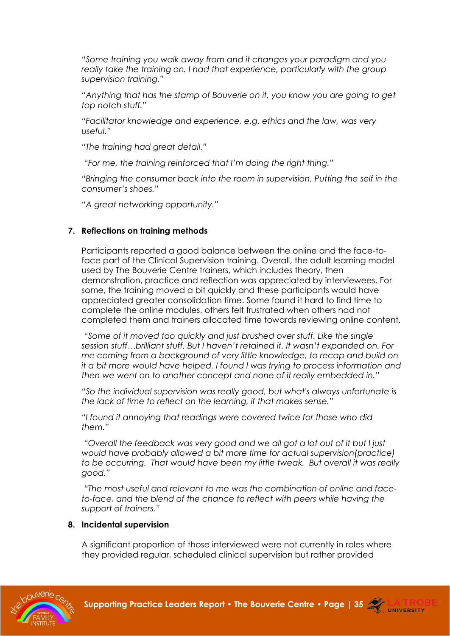*"Some training you walk away from and it changes your paradigm and you*  really take the training on. I had that experience, particularly with the group *supervision training."*

*"Anything that has the stamp of Bouverie on it, you know you are going to get top notch stuff."*

*"Facilitator knowledge and experience, e.g. ethics and the law, was very useful."*

*"The training had great detail."*

*"For me, the training reinforced that I'm doing the right thing."*

*"Bringing the consumer back into the room in supervision. Putting the self in the consumer's shoes."*

*"A great networking opportunity."*

#### **7. Reflections on training methods**

Participants reported a good balance between the online and the face-toface part of the Clinical Supervision training. Overall, the adult learning model used by The Bouverie Centre trainers, which includes theory, then demonstration, practice and reflection was appreciated by interviewees. For some, the training moved a bit quickly and these participants would have appreciated greater consolidation time. Some found it hard to find time to complete the online modules, others felt frustrated when others had not completed them and trainers allocated time towards reviewing online content.

*"Some of it moved too quickly and just brushed over stuff. Like the single session stuff…brilliant stuff. But I haven't retained it. It wasn't expanded on. For me coming from a background of very little knowledge, to recap and build on it a bit more would have helped. I found I was trying to process information and then we went on to another concept and none of it really embedded in."*

*"So the individual supervision was really good, but what's always unfortunate is the lack of time to reflect on the learning, if that makes sense."*

*"I found it annoying that readings were covered twice for those who did them."*

*"Overall the feedback was very good and we all got a lot out of it but I just would have probably allowed a bit more time for actual supervision(practice) to be occurring. That would have been my little tweak. But overall it was really good."*

*"The most useful and relevant to me was the combination of online and faceto-face, and the blend of the chance to reflect with peers while having the support of trainers."*

#### **8. Incidental supervision**

A significant proportion of those interviewed were not currently in roles where they provided regular, scheduled clinical supervision but rather provided

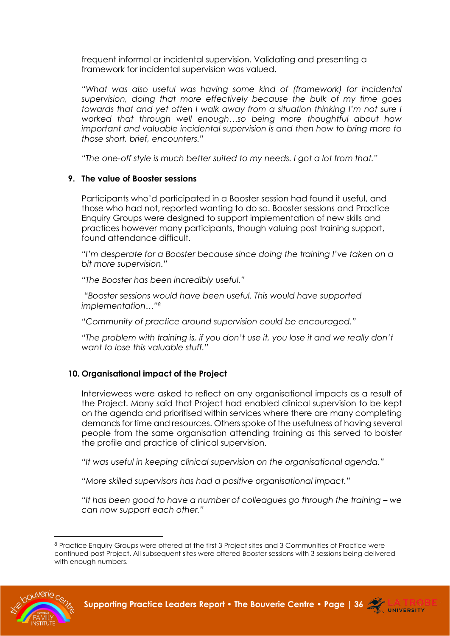frequent informal or incidental supervision. Validating and presenting a framework for incidental supervision was valued.

*"What was also useful was having some kind of (framework) for incidental supervision, doing that more effectively because the bulk of my time goes towards that and yet often I walk away from a situation thinking I'm not sure I worked that through well enough…so being more thoughtful about how important and valuable incidental supervision is and then how to bring more to those short, brief, encounters."*

*"The one-off style is much better suited to my needs. I got a lot from that."*

#### **9. The value of Booster sessions**

Participants who'd participated in a Booster session had found it useful, and those who had not, reported wanting to do so. Booster sessions and Practice Enquiry Groups were designed to support implementation of new skills and practices however many participants, though valuing post training support, found attendance difficult.

*"I'm desperate for a Booster because since doing the training I've taken on a bit more supervision."*

*"The Booster has been incredibly useful."*

*"Booster sessions would have been useful. This would have supported implementation…"<sup>8</sup>*

*"Community of practice around supervision could be encouraged."*

*"The problem with training is, if you don't use it, you lose it and we really don't want to lose this valuable stuff."*

#### **10. Organisational impact of the Project**

Interviewees were asked to reflect on any organisational impacts as a result of the Project. Many said that Project had enabled clinical supervision to be kept on the agenda and prioritised within services where there are many completing demands for time and resources. Others spoke of the usefulness of having several people from the same organisation attending training as this served to bolster the profile and practice of clinical supervision.

*"It was useful in keeping clinical supervision on the organisational agenda."*

*"More skilled supervisors has had a positive organisational impact."*

*n*<sup> $i$ </sup> it has been good to have a number of colleagues go through the training – we *can now support each other."*

<sup>8</sup> Practice Enquiry Groups were offered at the first 3 Project sites and 3 Communities of Practice were continued post Project. All subsequent sites were offered Booster sessions with 3 sessions being delivered with enough numbers.



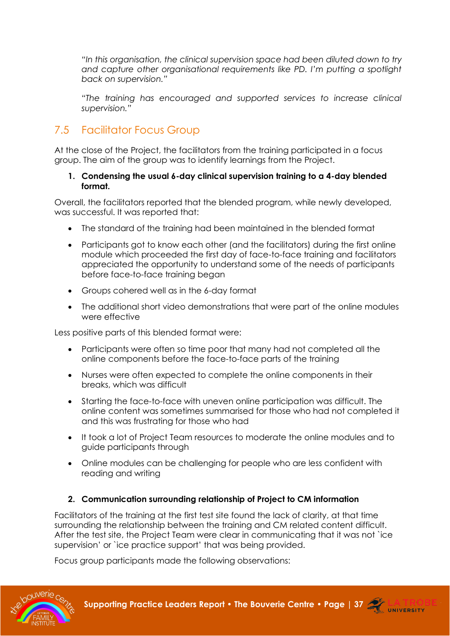*"In this organisation, the clinical supervision space had been diluted down to try and capture other organisational requirements like PD. I'm putting a spotlight back on supervision."*

*"The training has encouraged and supported services to increase clinical supervision."*

### <span id="page-36-0"></span>7.5 Facilitator Focus Group

At the close of the Project, the facilitators from the training participated in a focus group. The aim of the group was to identify learnings from the Project.

#### **1. Condensing the usual 6-day clinical supervision training to a 4-day blended format.**

Overall, the facilitators reported that the blended program, while newly developed, was successful. It was reported that:

- The standard of the training had been maintained in the blended format
- Participants got to know each other (and the facilitators) during the first online module which proceeded the first day of face-to-face training and facilitators appreciated the opportunity to understand some of the needs of participants before face-to-face training began
- Groups cohered well as in the 6-day format
- The additional short video demonstrations that were part of the online modules were effective

Less positive parts of this blended format were:

- Participants were often so time poor that many had not completed all the online components before the face-to-face parts of the training
- Nurses were often expected to complete the online components in their breaks, which was difficult
- Starting the face-to-face with uneven online participation was difficult. The online content was sometimes summarised for those who had not completed it and this was frustrating for those who had
- It took a lot of Project Team resources to moderate the online modules and to guide participants through
- Online modules can be challenging for people who are less confident with reading and writing

#### **2. Communication surrounding relationship of Project to CM information**

Facilitators of the training at the first test site found the lack of clarity, at that time surrounding the relationship between the training and CM related content difficult. After the test site, the Project Team were clear in communicating that it was not `ice supervision' or `ice practice support' that was being provided.

Focus group participants made the following observations:



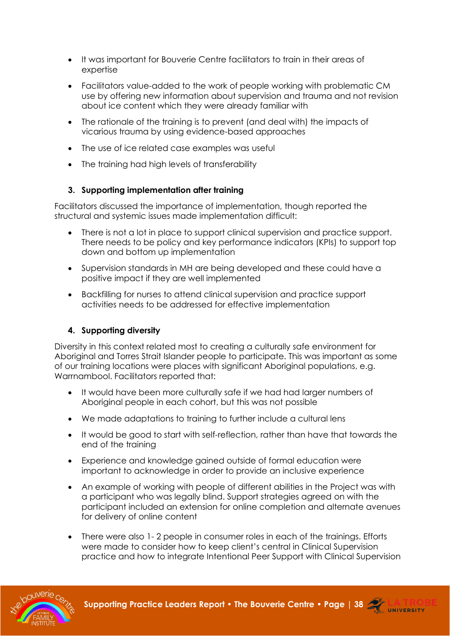- It was important for Bouverie Centre facilitators to train in their areas of expertise
- Facilitators value-added to the work of people working with problematic CM use by offering new information about supervision and trauma and not revision about ice content which they were already familiar with
- The rationale of the training is to prevent (and deal with) the impacts of vicarious trauma by using evidence-based approaches
- The use of ice related case examples was useful
- The training had high levels of transferability

#### **3. Supporting implementation after training**

Facilitators discussed the importance of implementation, though reported the structural and systemic issues made implementation difficult:

- There is not a lot in place to support clinical supervision and practice support. There needs to be policy and key performance indicators (KPIs) to support top down and bottom up implementation
- Supervision standards in MH are being developed and these could have a positive impact if they are well implemented
- Backfilling for nurses to attend clinical supervision and practice support activities needs to be addressed for effective implementation

#### **4. Supporting diversity**

Diversity in this context related most to creating a culturally safe environment for Aboriginal and Torres Strait Islander people to participate. This was important as some of our training locations were places with significant Aboriginal populations, e.g. Warrnambool. Facilitators reported that:

- It would have been more culturally safe if we had had larger numbers of Aboriginal people in each cohort, but this was not possible
- We made adaptations to training to further include a cultural lens
- It would be good to start with self-reflection, rather than have that towards the end of the training
- Experience and knowledge gained outside of formal education were important to acknowledge in order to provide an inclusive experience
- An example of working with people of different abilities in the Project was with a participant who was legally blind. Support strategies agreed on with the participant included an extension for online completion and alternate avenues for delivery of online content
- There were also 1- 2 people in consumer roles in each of the trainings. Efforts were made to consider how to keep client's central in Clinical Supervision practice and how to integrate Intentional Peer Support with Clinical Supervision



**Supporting Practice Leaders Report • The Bouverie Centre • [Page | 38](http://www.bouverie.org.au/) 22 LA TRO**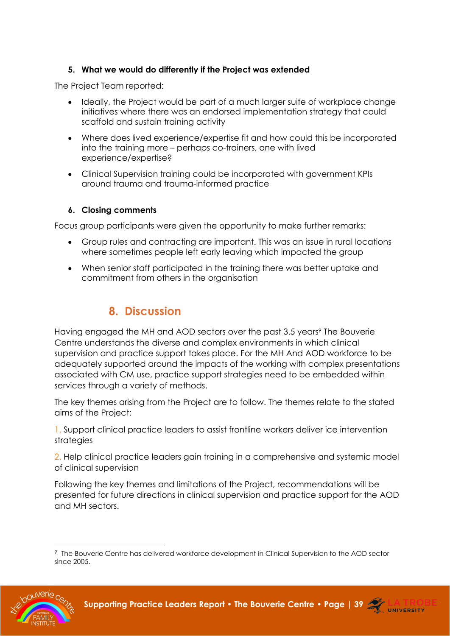#### **5. What we would do differently if the Project was extended**

The Project Team reported:

- Ideally, the Project would be part of a much larger suite of workplace change initiatives where there was an endorsed implementation strategy that could scaffold and sustain training activity
- Where does lived experience/expertise fit and how could this be incorporated into the training more – perhaps co-trainers, one with lived experience/expertise?
- Clinical Supervision training could be incorporated with government KPIs around trauma and trauma-informed practice

#### **6. Closing comments**

Focus group participants were given the opportunity to make further remarks:

- Group rules and contracting are important. This was an issue in rural locations where sometimes people left early leaving which impacted the group
- <span id="page-38-0"></span>• When senior staff participated in the training there was better uptake and commitment from others in the organisation

### **8. Discussion**

Having engaged the MH and AOD sectors over the past 3.5 years<sup>9</sup> The Bouverie Centre understands the diverse and complex environments in which clinical supervision and practice support takes place. For the MH And AOD workforce to be adequately supported around the impacts of the working with complex presentations associated with CM use, practice support strategies need to be embedded within services through a variety of methods.

The key themes arising from the Project are to follow. The themes relate to the stated aims of the Project:

1. Support clinical practice leaders to assist frontline workers deliver ice intervention strategies

2. Help clinical practice leaders gain training in a comprehensive and systemic model of clinical supervision

Following the key themes and limitations of the Project, recommendations will be presented for future directions in clinical supervision and practice support for the AOD and MH sectors.

<sup>9</sup> The Bouverie Centre has delivered workforce development in Clinical Supervision to the AOD sector since 2005.



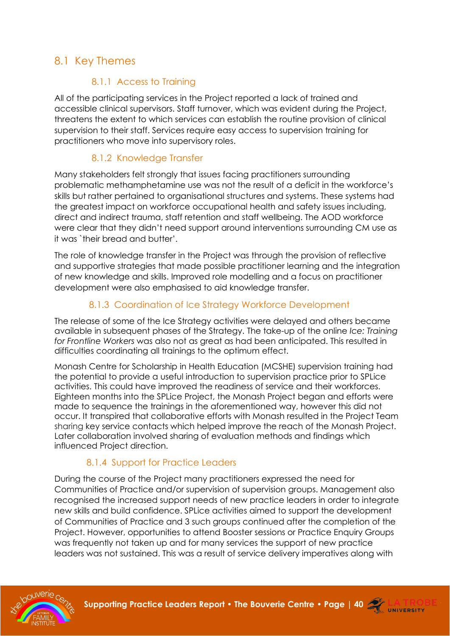### <span id="page-39-0"></span>8.1 Key Themes

### <span id="page-39-1"></span>8.1.1 Access to Training

All of the participating services in the Project reported a lack of trained and accessible clinical supervisors. Staff turnover, which was evident during the Project, threatens the extent to which services can establish the routine provision of clinical supervision to their staff. Services require easy access to supervision training for practitioners who move into supervisory roles.

### <span id="page-39-2"></span>8.1.2 Knowledge Transfer

Many stakeholders felt strongly that issues facing practitioners surrounding problematic methamphetamine use was not the result of a deficit in the workforce's skills but rather pertained to organisational structures and systems. These systems had the greatest impact on workforce occupational health and safety issues including, direct and indirect trauma, staff retention and staff wellbeing. The AOD workforce were clear that they didn't need support around interventions surrounding CM use as it was `their bread and butter'.

The role of knowledge transfer in the Project was through the provision of reflective and supportive strategies that made possible practitioner learning and the integration of new knowledge and skills. Improved role modelling and a focus on practitioner development were also emphasised to aid knowledge transfer.

### <span id="page-39-3"></span>8.1.3 Coordination of Ice Strategy Workforce Development

The release of some of the Ice Strategy activities were delayed and others became available in subsequent phases of the Strategy. The take-up of the online *Ice: Training for Frontline Workers* was also not as great as had been anticipated. This resulted in difficulties coordinating all trainings to the optimum effect.

Monash Centre for Scholarship in Health Education (MCSHE) supervision training had the potential to provide a useful introduction to supervision practice prior to SPLice activities. This could have improved the readiness of service and their workforces. Eighteen months into the SPLice Project, the Monash Project began and efforts were made to sequence the trainings in the aforementioned way, however this did not occur. It transpired that collaborative efforts with Monash resulted in the Project Team sharing key service contacts which helped improve the reach of the Monash Project. Later collaboration involved sharing of evaluation methods and findings which influenced Project direction.

### 8.1.4 Support for Practice Leaders

<span id="page-39-4"></span>During the course of the Project many practitioners expressed the need for Communities of Practice and/or supervision of supervision groups. Management also recognised the increased support needs of new practice leaders in order to integrate new skills and build confidence. SPLice activities aimed to support the development of Communities of Practice and 3 such groups continued after the completion of the Project. However, opportunities to attend Booster sessions or Practice Enquiry Groups was frequently not taken up and for many services the support of new practice leaders was not sustained. This was a result of service delivery imperatives along with

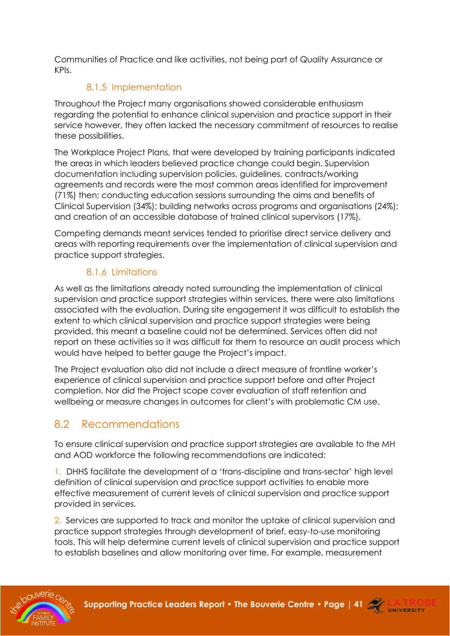Communities of Practice and like activities, not being part of Quality Assurance or KPIs.

### 8.1.5 Implementation

<span id="page-40-0"></span>Throughout the Project many organisations showed considerable enthusiasm regarding the potential to enhance clinical supervision and practice support in their service however, they often lacked the necessary commitment of resources to realise these possibilities.

The Workplace Project Plans, that were developed by training participants indicated the areas in which leaders believed practice change could begin. Supervision documentation including supervision policies, guidelines, contracts/working agreements and records were the most common areas identified for improvement (71%) then; conducting education sessions surrounding the aims and benefits of Clinical Supervision (34%); building networks across programs and organisations (24%); and creation of an accessible database of trained clinical supervisors (17%).

Competing demands meant services tended to prioritise direct service delivery and areas with reporting requirements over the implementation of clinical supervision and practice support strategies.

### 8.1.6 Limitations

<span id="page-40-1"></span>As well as the limitations already noted surrounding the implementation of clinical supervision and practice support strategies within services, there were also limitations associated with the evaluation. During site engagement it was difficult to establish the extent to which clinical supervision and practice support strategies were being provided, this meant a baseline could not be determined. Services often did not report on these activities so it was difficult for them to resource an audit process which would have helped to better gauge the Project's impact.

The Project evaluation also did not include a direct measure of frontline worker's experience of clinical supervision and practice support before and after Project completion. Nor did the Project scope cover evaluation of staff retention and wellbeing or measure changes in outcomes for client's with problematic CM use.

## <span id="page-40-2"></span>8.2 Recommendations

To ensure clinical supervision and practice support strategies are available to the MH and AOD workforce the following recommendations are indicated:

1. DHHS facilitate the development of a 'trans-discipline and trans-sector' high level definition of clinical supervision and practice support activities to enable more effective measurement of current levels of clinical supervision and practice support provided in services.

2. Services are supported to track and monitor the uptake of clinical supervision and practice support strategies through development of brief, easy-to-use monitoring tools. This will help determine current levels of clinical supervision and practice support to establish baselines and allow monitoring over time. For example, measurement



**Supporting Practice Leaders Report • The Bouverie Centre • [Page | 41](http://www.bouverie.org.au/) ATRO**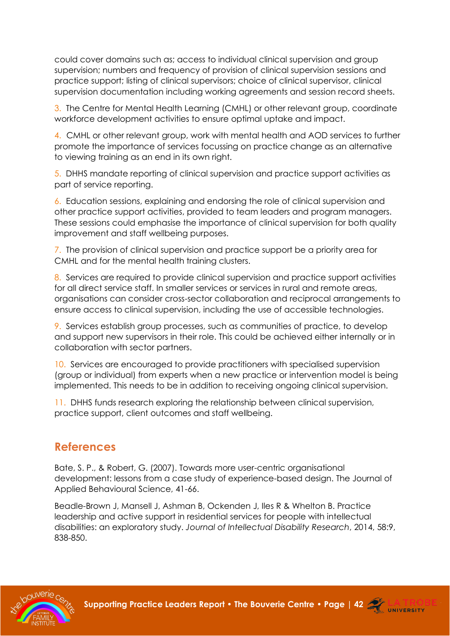could cover domains such as; access to individual clinical supervision and group supervision; numbers and frequency of provision of clinical supervision sessions and practice support; listing of clinical supervisors; choice of clinical supervisor, clinical supervision documentation including working agreements and session record sheets.

3. The Centre for Mental Health Learning (CMHL) or other relevant group, coordinate workforce development activities to ensure optimal uptake and impact.

4. CMHL or other relevant group, work with mental health and AOD services to further promote the importance of services focussing on practice change as an alternative to viewing training as an end in its own right.

5. DHHS mandate reporting of clinical supervision and practice support activities as part of service reporting.

6. Education sessions, explaining and endorsing the role of clinical supervision and other practice support activities, provided to team leaders and program managers. These sessions could emphasise the importance of clinical supervision for both quality improvement and staff wellbeing purposes.

7. The provision of clinical supervision and practice support be a priority area for CMHL and for the mental health training clusters.

8. Services are required to provide clinical supervision and practice support activities for all direct service staff. In smaller services or services in rural and remote areas, organisations can consider cross-sector collaboration and reciprocal arrangements to ensure access to clinical supervision, including the use of accessible technologies.

9. Services establish group processes, such as communities of practice, to develop and support new supervisors in their role. This could be achieved either internally or in collaboration with sector partners.

10. Services are encouraged to provide practitioners with specialised supervision (group or individual) from experts when a new practice or intervention model is being implemented. This needs to be in addition to receiving ongoing clinical supervision.

11. DHHS funds research exploring the relationship between clinical supervision, practice support, client outcomes and staff wellbeing.

## <span id="page-41-0"></span>**References**

Bate, S. P., & Robert, G. (2007). Towards more user-centric organisational development: lessons from a case study of experience-based design. The Journal of Applied Behavioural Science, 41-66.

Beadle-Brown J, Mansell J, Ashman B, Ockenden J, Iles R & Whelton B. Practice leadership and active support in residential services for people with intellectual disabilities: an exploratory study. *Journal of Intellectual Disability Research*, 2014, 58:9, 838-850.



**Supporting Practice Leaders Report • The Bouverie Centre • [Page | 42](http://www.bouverie.org.au/) ATRO** 

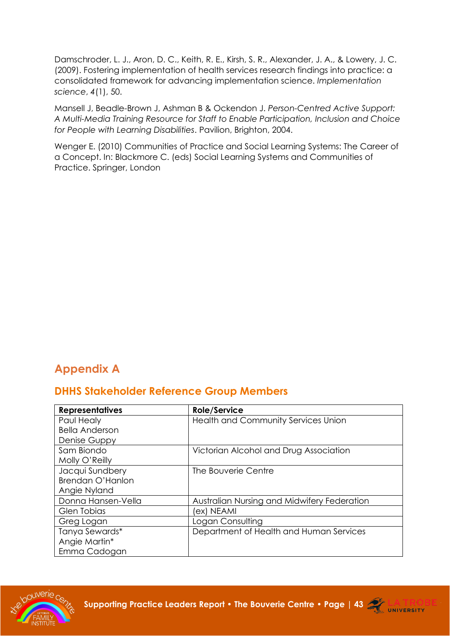Damschroder, L. J., Aron, D. C., Keith, R. E., Kirsh, S. R., Alexander, J. A., & Lowery, J. C. (2009). Fostering implementation of health services research findings into practice: a consolidated framework for advancing implementation science. *Implementation science*, *4*(1), 50.

Mansell J, Beadle-Brown J, Ashman B & Ockendon J. *Person-Centred Active Support: A Multi-Media Training Resource for Staff to Enable Participation, Inclusion and Choice for People with Learning Disabilities*. Pavilion, Brighton, 2004.

Wenger E. (2010) Communities of Practice and Social Learning Systems: The Career of a Concept. In: Blackmore C. (eds) Social Learning Systems and Communities of Practice. Springer, London

## <span id="page-42-0"></span>**Appendix A**

### **DHHS Stakeholder Reference Group Members**

| <b>Representatives</b> | <b>Role/Service</b>                         |
|------------------------|---------------------------------------------|
| Paul Healy             | <b>Health and Community Services Union</b>  |
| <b>Bella Anderson</b>  |                                             |
| Denise Guppy           |                                             |
| Sam Biondo             | Victorian Alcohol and Drug Association      |
| Molly O'Reilly         |                                             |
| Jacqui Sundbery        | The Bouverie Centre                         |
| Brendan O'Hanlon       |                                             |
| Angie Nyland           |                                             |
| Donna Hansen-Vella     | Australian Nursing and Midwifery Federation |
| Glen Tobias            | (ex) NEAMI                                  |
| Greg Logan             | Logan Consulting                            |
| Tanya Sewards*         | Department of Health and Human Services     |
| Angie Martin*          |                                             |
| Emma Cadogan           |                                             |



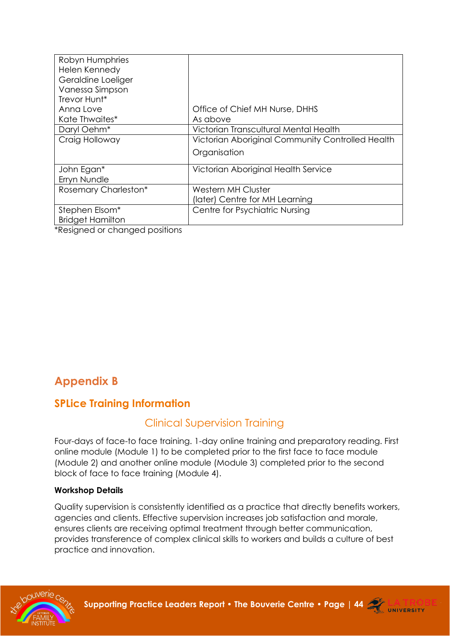| Robyn Humphries            |                                                  |
|----------------------------|--------------------------------------------------|
| Helen Kennedy              |                                                  |
| Geraldine Loeliger         |                                                  |
| Vanessa Simpson            |                                                  |
| Trevor Hunt*               |                                                  |
| Anna Love                  | Office of Chief MH Nurse, DHHS                   |
| Kate Thwaites*             | As above                                         |
| Daryl Oehm <sup>*</sup>    | Victorian Transcultural Mental Health            |
| Craig Holloway             | Victorian Aboriginal Community Controlled Health |
|                            | Organisation                                     |
| John Egan*                 | Victorian Aboriginal Health Service              |
| Erryn Nundle               |                                                  |
| Rosemary Charleston*       | <b>Western MH Cluster</b>                        |
|                            | (later) Centre for MH Learning                   |
| Stephen Elsom <sup>*</sup> | Centre for Psychiatric Nursing                   |
| <b>Bridget Hamilton</b>    |                                                  |

\*Resigned or changed positions

## <span id="page-43-0"></span>**Appendix B**

## **SPLice Training Information**

### Clinical Supervision Training

Four-days of face-to face training. 1-day online training and preparatory reading. First online module (Module 1) to be completed prior to the first face to face module (Module 2) and another online module (Module 3) completed prior to the second block of face to face training (Module 4).

#### **Workshop Details**

Quality supervision is consistently identified as a practice that directly benefits workers, agencies and clients. Effective supervision increases job satisfaction and morale, ensures clients are receiving optimal treatment through better communication, provides transference of complex clinical skills to workers and builds a culture of best practice and innovation.



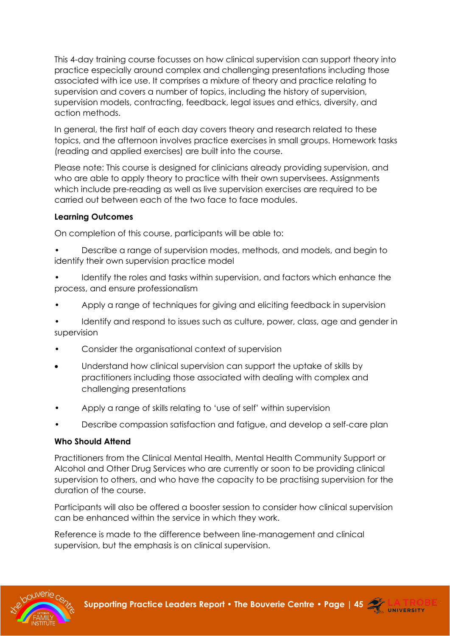This 4-day training course focusses on how clinical supervision can support theory into practice especially around complex and challenging presentations including those associated with ice use. It comprises a mixture of theory and practice relating to supervision and covers a number of topics, including the history of supervision, supervision models, contracting, feedback, legal issues and ethics, diversity, and action methods.

In general, the first half of each day covers theory and research related to these topics, and the afternoon involves practice exercises in small groups. Homework tasks (reading and applied exercises) are built into the course.

Please note: This course is designed for clinicians already providing supervision, and who are able to apply theory to practice with their own supervisees. Assignments which include pre-reading as well as live supervision exercises are required to be carried out between each of the two face to face modules.

#### **Learning Outcomes**

On completion of this course, participants will be able to:

- Describe a range of supervision modes, methods, and models, and begin to identify their own supervision practice model
- Identify the roles and tasks within supervision, and factors which enhance the process, and ensure professionalism
- Apply a range of techniques for giving and eliciting feedback in supervision

• Identify and respond to issues such as culture, power, class, age and gender in supervision

- Consider the organisational context of supervision
- Understand how clinical supervision can support the uptake of skills by practitioners including those associated with dealing with complex and challenging presentations
- Apply a range of skills relating to 'use of self' within supervision
- Describe compassion satisfaction and fatigue, and develop a self-care plan

#### **Who Should Attend**

Practitioners from the Clinical Mental Health, Mental Health Community Support or Alcohol and Other Drug Services who are currently or soon to be providing clinical supervision to others, and who have the capacity to be practising supervision for the duration of the course.

Participants will also be offered a booster session to consider how clinical supervision can be enhanced within the service in which they work.

Reference is made to the difference between line-management and clinical supervision, but the emphasis is on clinical supervision.



**Supporting Practice Leaders Report • The Bouverie Centre • [Page | 45](http://www.bouverie.org.au/) ATRO** 

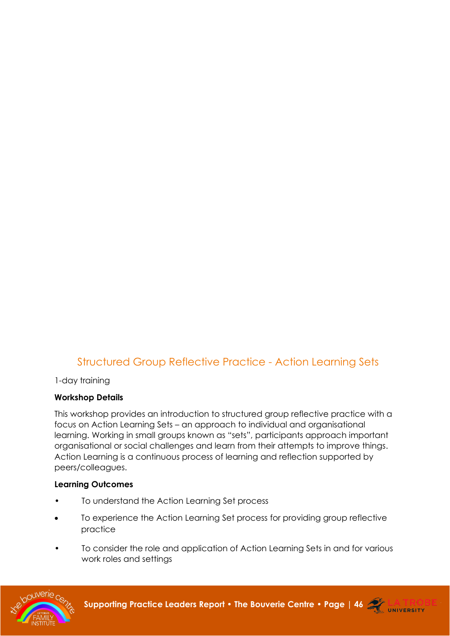### Structured Group Reflective Practice - Action Learning Sets

1-day training

#### **Workshop Details**

This workshop provides an introduction to structured group reflective practice with a focus on Action Learning Sets – an approach to individual and organisational learning. Working in small groups known as "sets", participants approach important organisational or social challenges and learn from their attempts to improve things. Action Learning is a continuous process of learning and reflection supported by peers/colleagues.

#### **Learning Outcomes**

- To understand the Action Learning Set process
- To experience the Action Learning Set process for providing group reflective practice
- To consider the role and application of Action Learning Sets in and for various work roles and settings



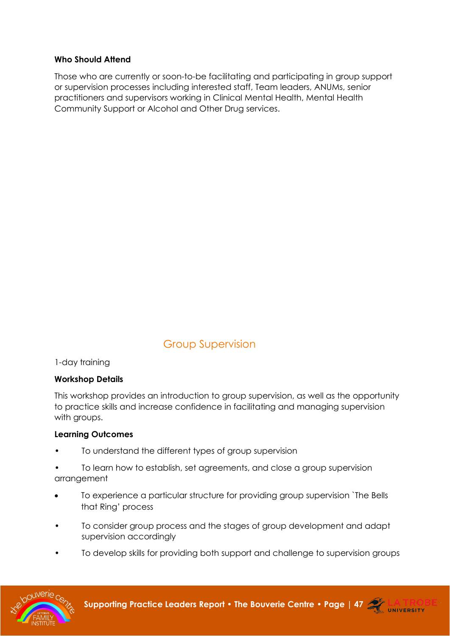#### **Who Should Attend**

Those who are currently or soon-to-be facilitating and participating in group support or supervision processes including interested staff, Team leaders, ANUMs, senior practitioners and supervisors working in Clinical Mental Health, Mental Health Community Support or Alcohol and Other Drug services.

## Group Supervision

1-day training

#### **Workshop Details**

This workshop provides an introduction to group supervision, as well as the opportunity to practice skills and increase confidence in facilitating and managing supervision with aroups.

#### **Learning Outcomes**

- To understand the different types of group supervision
- To learn how to establish, set agreements, and close a group supervision arrangement
- To experience a particular structure for providing group supervision `The Bells that Ring' process
- To consider group process and the stages of group development and adapt supervision accordingly
- To develop skills for providing both support and challenge to supervision groups



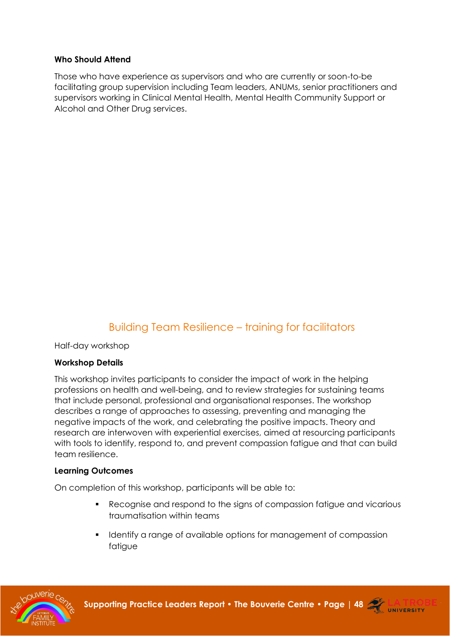#### **Who Should Attend**

Those who have experience as supervisors and who are currently or soon-to-be facilitating group supervision including Team leaders, ANUMs, senior practitioners and supervisors working in Clinical Mental Health, Mental Health Community Support or Alcohol and Other Drug services.

## Building Team Resilience – training for facilitators

Half-day workshop

#### **Workshop Details**

This workshop invites participants to consider the impact of work in the helping professions on health and well-being, and to review strategies for sustaining teams that include personal, professional and organisational responses. The workshop describes a range of approaches to assessing, preventing and managing the negative impacts of the work, and celebrating the positive impacts. Theory and research are interwoven with experiential exercises, aimed at resourcing participants with tools to identify, respond to, and prevent compassion fatigue and that can build team resilience.

#### **Learning Outcomes**

On completion of this workshop, participants will be able to:

- Recognise and respond to the signs of compassion fatigue and vicarious traumatisation within teams
- **•** Identify a range of available options for management of compassion fatigue



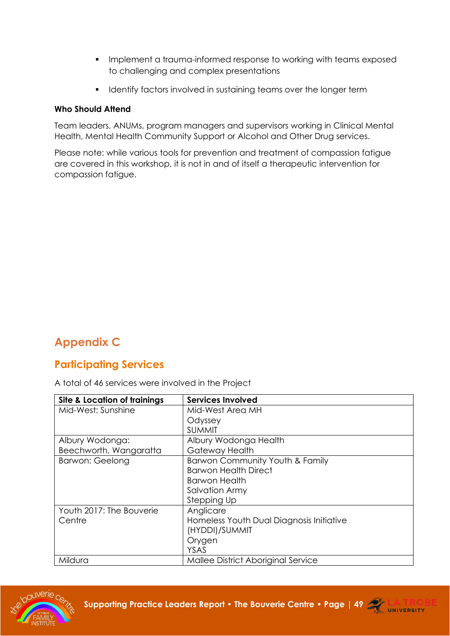- Implement a trauma-informed response to working with teams exposed to challenging and complex presentations
- **•** Identify factors involved in sustaining teams over the longer term

#### **Who Should Attend**

Team leaders, ANUMs, program managers and supervisors working in Clinical Mental Health, Mental Health Community Support or Alcohol and Other Drug services.

Please note: while various tools for prevention and treatment of compassion fatigue are covered in this workshop, it is not in and of itself a therapeutic intervention for compassion fatigue.

## <span id="page-48-0"></span>**Appendix C**

### **Participating Services**

A total of 46 services were involved in the Project

| <b>Site &amp; Location of trainings</b> | <b>Services Involved</b>                 |
|-----------------------------------------|------------------------------------------|
| Mid-West: Sunshine                      | Mid-West Area MH                         |
|                                         | Odyssey                                  |
|                                         | <b>SUMMIT</b>                            |
| Albury Wodonga:                         | Albury Wodonga Health                    |
| Beechworth, Wangaratta                  | Gateway Health                           |
| <b>Barwon: Geelong</b>                  | Barwon Community Youth & Family          |
|                                         | <b>Barwon Health Direct</b>              |
|                                         | <b>Barwon Health</b>                     |
|                                         | <b>Salvation Army</b>                    |
|                                         | Stepping Up                              |
| Youth 2017: The Bouverie                | Anglicare                                |
| Centre                                  | Homeless Youth Dual Diagnosis Initiative |
|                                         | (HYDDI)/SUMMIT                           |
|                                         | Orygen                                   |
|                                         | <b>YSAS</b>                              |
| Mildura                                 | Mallee District Aboriginal Service       |



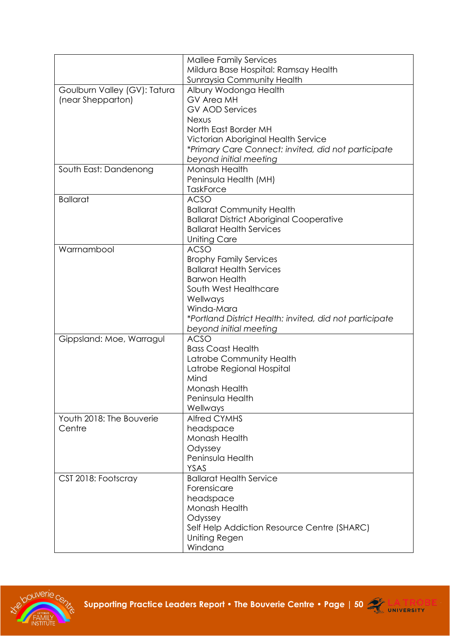|                              | <b>Mallee Family Services</b>                           |
|------------------------------|---------------------------------------------------------|
|                              | Mildura Base Hospital: Ramsay Health                    |
|                              | <b>Sunraysia Community Health</b>                       |
| Goulburn Valley (GV): Tatura | Albury Wodonga Health                                   |
| (near Shepparton)            | <b>GV Area MH</b>                                       |
|                              | <b>GV AOD Services</b>                                  |
|                              | <b>Nexus</b>                                            |
|                              | North East Border MH                                    |
|                              | Victorian Aboriginal Health Service                     |
|                              |                                                         |
|                              | *Primary Care Connect: invited, did not participate     |
|                              | beyond initial meeting                                  |
| South East: Dandenong        | Monash Health                                           |
|                              | Peninsula Health (MH)                                   |
|                              | <b>TaskForce</b>                                        |
| <b>Ballarat</b>              | <b>ACSO</b>                                             |
|                              | <b>Ballarat Community Health</b>                        |
|                              | <b>Ballarat District Aboriginal Cooperative</b>         |
|                              | <b>Ballarat Health Services</b>                         |
|                              | <b>Uniting Care</b>                                     |
| Warrnambool                  | <b>ACSO</b>                                             |
|                              | <b>Brophy Family Services</b>                           |
|                              | <b>Ballarat Health Services</b>                         |
|                              | <b>Barwon Health</b>                                    |
|                              | South West Healthcare                                   |
|                              | Wellways                                                |
|                              | Winda-Mara                                              |
|                              | *Portland District Health: invited, did not participate |
|                              | beyond initial meeting                                  |
| Gippsland: Moe, Warragul     | <b>ACSO</b>                                             |
|                              | <b>Bass Coast Health</b>                                |
|                              | Latrobe Community Health                                |
|                              | Latrobe Regional Hospital                               |
|                              | Mind                                                    |
|                              | Monash Health                                           |
|                              | Peninsula Health                                        |
|                              | Wellways                                                |
| Youth 2018: The Bouverie     | <b>Alfred CYMHS</b>                                     |
|                              |                                                         |
| Centre                       | headspace                                               |
|                              | Monash Health                                           |
|                              | Odyssey                                                 |
|                              | Peninsula Health                                        |
|                              | <b>YSAS</b>                                             |
| CST 2018: Footscray          | <b>Ballarat Health Service</b>                          |
|                              | Forensicare                                             |
|                              | headspace                                               |
|                              | Monash Health                                           |
|                              | Odyssey                                                 |
|                              | Self Help Addiction Resource Centre (SHARC)             |
|                              | Uniting Regen                                           |
|                              | Windana                                                 |